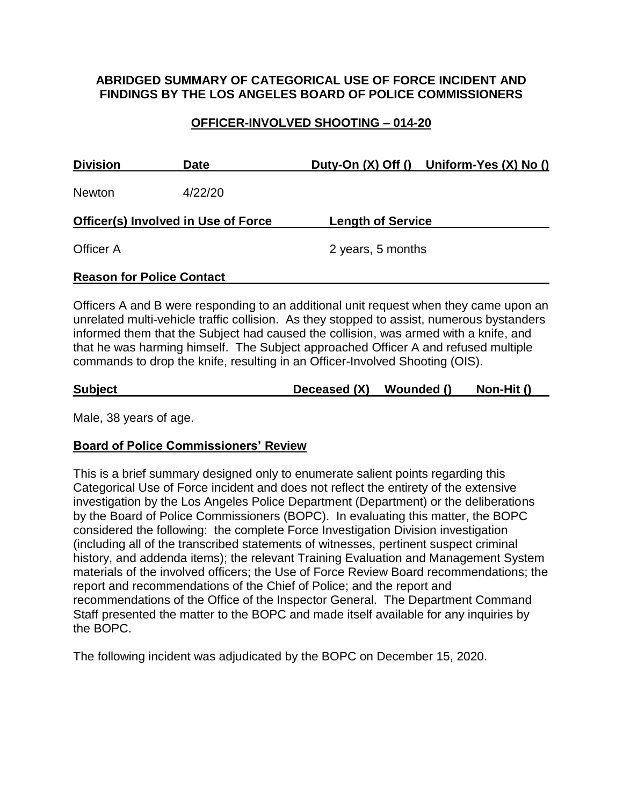### **ABRIDGED SUMMARY OF CATEGORICAL USE OF FORCE INCIDENT AND FINDINGS BY THE LOS ANGELES BOARD OF POLICE COMMISSIONERS**

## **OFFICER-INVOLVED SHOOTING – 014-20**

| <b>Division</b>                            | <b>Date</b> | Duty-On $(X)$ Off $()$ Uniform-Yes $(X)$ No $()$ |  |  |  |
|--------------------------------------------|-------------|--------------------------------------------------|--|--|--|
| <b>Newton</b>                              | 4/22/20     |                                                  |  |  |  |
| <b>Officer(s) Involved in Use of Force</b> |             | <b>Length of Service</b>                         |  |  |  |
| Officer A                                  |             | 2 years, 5 months                                |  |  |  |
| <b>Reason for Police Contact</b>           |             |                                                  |  |  |  |

Officers A and B were responding to an additional unit request when they came upon an unrelated multi-vehicle traffic collision. As they stopped to assist, numerous bystanders informed them that the Subject had caused the collision, was armed with a knife, and that he was harming himself. The Subject approached Officer A and refused multiple commands to drop the knife, resulting in an Officer-Involved Shooting (OIS).

| <b>Subject</b> | Deceased (X) Wounded () | Non-Hit () |
|----------------|-------------------------|------------|
|                |                         |            |

Male, 38 years of age.

#### **Board of Police Commissioners' Review**

This is a brief summary designed only to enumerate salient points regarding this Categorical Use of Force incident and does not reflect the entirety of the extensive investigation by the Los Angeles Police Department (Department) or the deliberations by the Board of Police Commissioners (BOPC). In evaluating this matter, the BOPC considered the following: the complete Force Investigation Division investigation (including all of the transcribed statements of witnesses, pertinent suspect criminal history, and addenda items); the relevant Training Evaluation and Management System materials of the involved officers; the Use of Force Review Board recommendations; the report and recommendations of the Chief of Police; and the report and recommendations of the Office of the Inspector General. The Department Command Staff presented the matter to the BOPC and made itself available for any inquiries by the BOPC.

The following incident was adjudicated by the BOPC on December 15, 2020.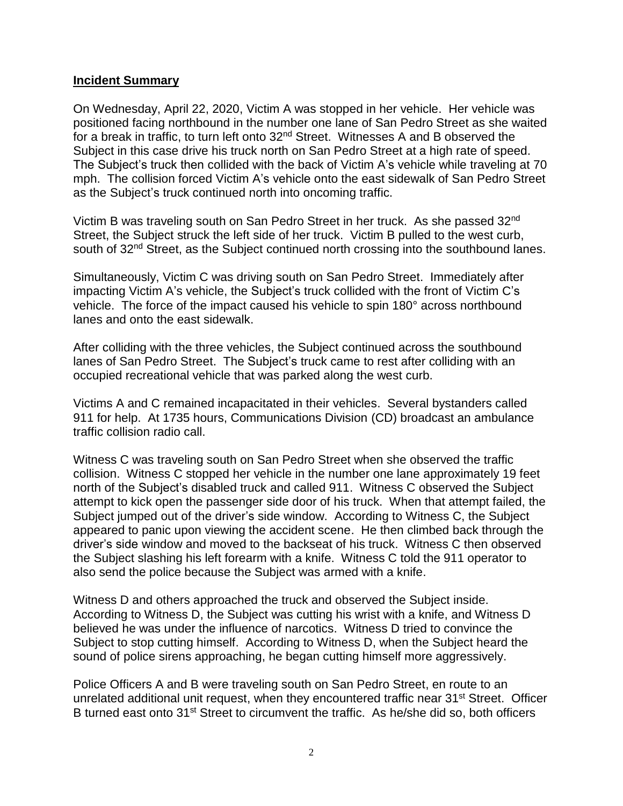#### **Incident Summary**

On Wednesday, April 22, 2020, Victim A was stopped in her vehicle. Her vehicle was positioned facing northbound in the number one lane of San Pedro Street as she waited for a break in traffic, to turn left onto 32<sup>nd</sup> Street. Witnesses A and B observed the Subject in this case drive his truck north on San Pedro Street at a high rate of speed. The Subject's truck then collided with the back of Victim A's vehicle while traveling at 70 mph. The collision forced Victim A's vehicle onto the east sidewalk of San Pedro Street as the Subject's truck continued north into oncoming traffic.

Victim B was traveling south on San Pedro Street in her truck. As she passed 32nd Street, the Subject struck the left side of her truck. Victim B pulled to the west curb, south of 32<sup>nd</sup> Street, as the Subject continued north crossing into the southbound lanes.

Simultaneously, Victim C was driving south on San Pedro Street. Immediately after impacting Victim A's vehicle, the Subject's truck collided with the front of Victim C's vehicle. The force of the impact caused his vehicle to spin 180° across northbound lanes and onto the east sidewalk.

After colliding with the three vehicles, the Subject continued across the southbound lanes of San Pedro Street. The Subject's truck came to rest after colliding with an occupied recreational vehicle that was parked along the west curb.

Victims A and C remained incapacitated in their vehicles. Several bystanders called 911 for help. At 1735 hours, Communications Division (CD) broadcast an ambulance traffic collision radio call.

Witness C was traveling south on San Pedro Street when she observed the traffic collision. Witness C stopped her vehicle in the number one lane approximately 19 feet north of the Subject's disabled truck and called 911. Witness C observed the Subject attempt to kick open the passenger side door of his truck. When that attempt failed, the Subject jumped out of the driver's side window. According to Witness C, the Subject appeared to panic upon viewing the accident scene. He then climbed back through the driver's side window and moved to the backseat of his truck. Witness C then observed the Subject slashing his left forearm with a knife. Witness C told the 911 operator to also send the police because the Subject was armed with a knife.

Witness D and others approached the truck and observed the Subject inside. According to Witness D, the Subject was cutting his wrist with a knife, and Witness D believed he was under the influence of narcotics. Witness D tried to convince the Subject to stop cutting himself. According to Witness D, when the Subject heard the sound of police sirens approaching, he began cutting himself more aggressively.

Police Officers A and B were traveling south on San Pedro Street, en route to an unrelated additional unit request, when they encountered traffic near 31<sup>st</sup> Street. Officer B turned east onto 31<sup>st</sup> Street to circumvent the traffic. As he/she did so, both officers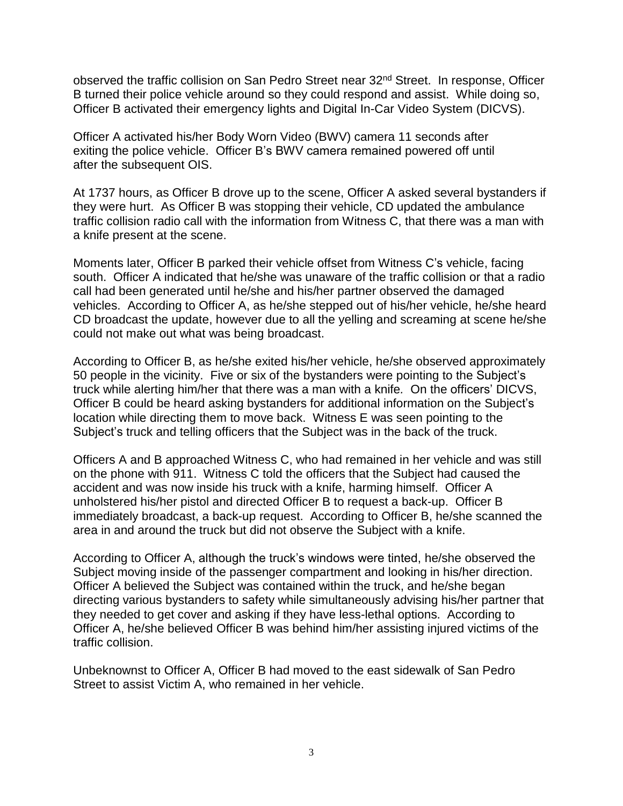observed the traffic collision on San Pedro Street near 32nd Street. In response, Officer B turned their police vehicle around so they could respond and assist. While doing so, Officer B activated their emergency lights and Digital In-Car Video System (DICVS).

Officer A activated his/her Body Worn Video (BWV) camera 11 seconds after exiting the police vehicle. Officer B's BWV camera remained powered off until after the subsequent OIS.

At 1737 hours, as Officer B drove up to the scene, Officer A asked several bystanders if they were hurt. As Officer B was stopping their vehicle, CD updated the ambulance traffic collision radio call with the information from Witness C, that there was a man with a knife present at the scene.

Moments later, Officer B parked their vehicle offset from Witness C's vehicle, facing south. Officer A indicated that he/she was unaware of the traffic collision or that a radio call had been generated until he/she and his/her partner observed the damaged vehicles. According to Officer A, as he/she stepped out of his/her vehicle, he/she heard CD broadcast the update, however due to all the yelling and screaming at scene he/she could not make out what was being broadcast.

According to Officer B, as he/she exited his/her vehicle, he/she observed approximately 50 people in the vicinity. Five or six of the bystanders were pointing to the Subject's truck while alerting him/her that there was a man with a knife*.* On the officers' DICVS, Officer B could be heard asking bystanders for additional information on the Subject's location while directing them to move back. Witness E was seen pointing to the Subject's truck and telling officers that the Subject was in the back of the truck.

Officers A and B approached Witness C, who had remained in her vehicle and was still on the phone with 911. Witness C told the officers that the Subject had caused the accident and was now inside his truck with a knife, harming himself. Officer A unholstered his/her pistol and directed Officer B to request a back-up. Officer B immediately broadcast, a back-up request. According to Officer B, he/she scanned the area in and around the truck but did not observe the Subject with a knife.

According to Officer A, although the truck's windows were tinted, he/she observed the Subject moving inside of the passenger compartment and looking in his/her direction. Officer A believed the Subject was contained within the truck, and he/she began directing various bystanders to safety while simultaneously advising his/her partner that they needed to get cover and asking if they have less-lethal options. According to Officer A, he/she believed Officer B was behind him/her assisting injured victims of the traffic collision.

Unbeknownst to Officer A, Officer B had moved to the east sidewalk of San Pedro Street to assist Victim A, who remained in her vehicle.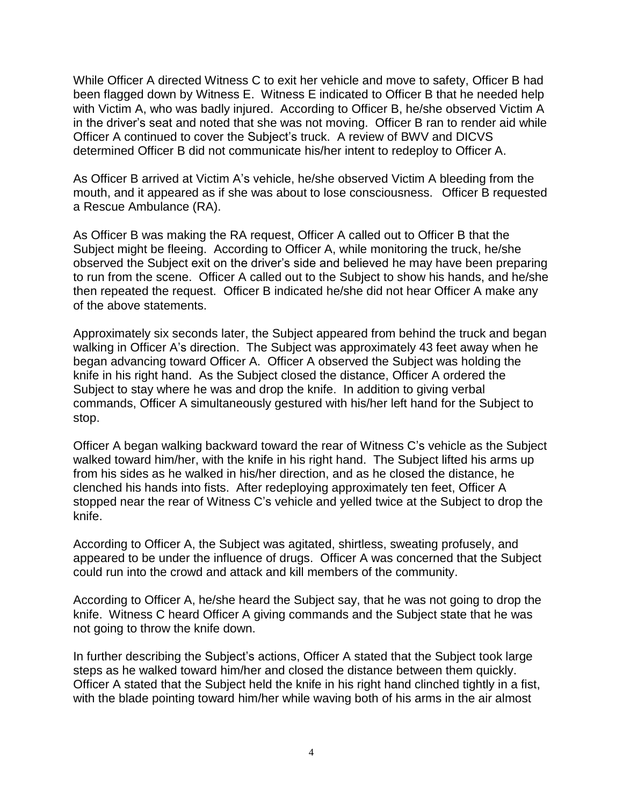While Officer A directed Witness C to exit her vehicle and move to safety, Officer B had been flagged down by Witness E. Witness E indicated to Officer B that he needed help with Victim A, who was badly injured. According to Officer B, he/she observed Victim A in the driver's seat and noted that she was not moving. Officer B ran to render aid while Officer A continued to cover the Subject's truck. A review of BWV and DICVS determined Officer B did not communicate his/her intent to redeploy to Officer A.

As Officer B arrived at Victim A's vehicle, he/she observed Victim A bleeding from the mouth, and it appeared as if she was about to lose consciousness. Officer B requested a Rescue Ambulance (RA).

As Officer B was making the RA request, Officer A called out to Officer B that the Subject might be fleeing. According to Officer A, while monitoring the truck, he/she observed the Subject exit on the driver's side and believed he may have been preparing to run from the scene. Officer A called out to the Subject to show his hands, and he/she then repeated the request. Officer B indicated he/she did not hear Officer A make any of the above statements.

Approximately six seconds later, the Subject appeared from behind the truck and began walking in Officer A's direction. The Subject was approximately 43 feet away when he began advancing toward Officer A. Officer A observed the Subject was holding the knife in his right hand. As the Subject closed the distance, Officer A ordered the Subject to stay where he was and drop the knife. In addition to giving verbal commands, Officer A simultaneously gestured with his/her left hand for the Subject to stop.

Officer A began walking backward toward the rear of Witness C's vehicle as the Subject walked toward him/her, with the knife in his right hand. The Subject lifted his arms up from his sides as he walked in his/her direction, and as he closed the distance, he clenched his hands into fists. After redeploying approximately ten feet, Officer A stopped near the rear of Witness C's vehicle and yelled twice at the Subject to drop the knife.

According to Officer A, the Subject was agitated, shirtless, sweating profusely, and appeared to be under the influence of drugs. Officer A was concerned that the Subject could run into the crowd and attack and kill members of the community.

According to Officer A, he/she heard the Subject say, that he was not going to drop the knife. Witness C heard Officer A giving commands and the Subject state that he was not going to throw the knife down.

In further describing the Subject's actions, Officer A stated that the Subject took large steps as he walked toward him/her and closed the distance between them quickly. Officer A stated that the Subject held the knife in his right hand clinched tightly in a fist, with the blade pointing toward him/her while waving both of his arms in the air almost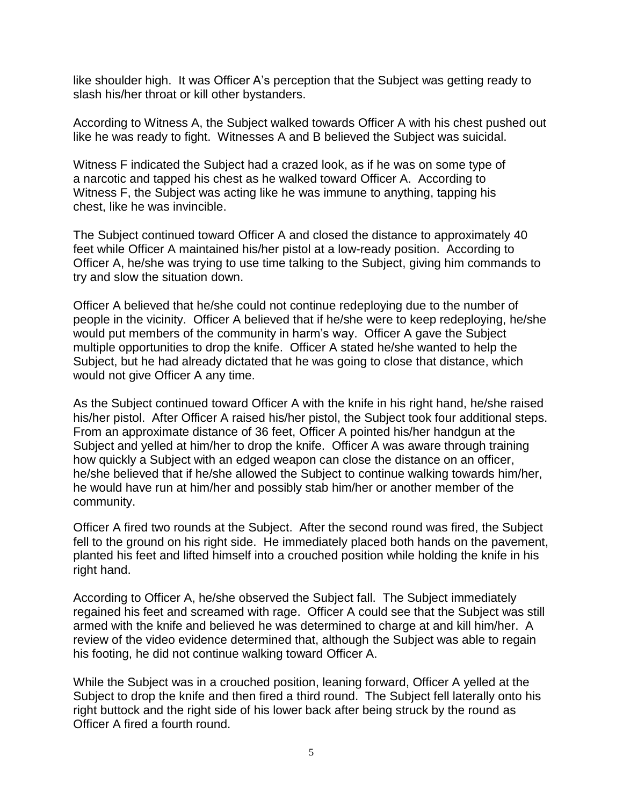like shoulder high. It was Officer A's perception that the Subject was getting ready to slash his/her throat or kill other bystanders.

According to Witness A, the Subject walked towards Officer A with his chest pushed out like he was ready to fight. Witnesses A and B believed the Subject was suicidal.

Witness F indicated the Subject had a crazed look, as if he was on some type of a narcotic and tapped his chest as he walked toward Officer A. According to Witness F, the Subject was acting like he was immune to anything, tapping his chest, like he was invincible.

The Subject continued toward Officer A and closed the distance to approximately 40 feet while Officer A maintained his/her pistol at a low-ready position. According to Officer A, he/she was trying to use time talking to the Subject, giving him commands to try and slow the situation down.

Officer A believed that he/she could not continue redeploying due to the number of people in the vicinity. Officer A believed that if he/she were to keep redeploying, he/she would put members of the community in harm's way. Officer A gave the Subject multiple opportunities to drop the knife. Officer A stated he/she wanted to help the Subject, but he had already dictated that he was going to close that distance, which would not give Officer A any time.

As the Subject continued toward Officer A with the knife in his right hand, he/she raised his/her pistol. After Officer A raised his/her pistol, the Subject took four additional steps. From an approximate distance of 36 feet, Officer A pointed his/her handgun at the Subject and yelled at him/her to drop the knife. Officer A was aware through training how quickly a Subject with an edged weapon can close the distance on an officer, he/she believed that if he/she allowed the Subject to continue walking towards him/her, he would have run at him/her and possibly stab him/her or another member of the community.

Officer A fired two rounds at the Subject. After the second round was fired, the Subject fell to the ground on his right side. He immediately placed both hands on the pavement, planted his feet and lifted himself into a crouched position while holding the knife in his right hand.

According to Officer A, he/she observed the Subject fall. The Subject immediately regained his feet and screamed with rage. Officer A could see that the Subject was still armed with the knife and believed he was determined to charge at and kill him/her. A review of the video evidence determined that, although the Subject was able to regain his footing, he did not continue walking toward Officer A.

While the Subject was in a crouched position, leaning forward, Officer A yelled at the Subject to drop the knife and then fired a third round. The Subject fell laterally onto his right buttock and the right side of his lower back after being struck by the round as Officer A fired a fourth round.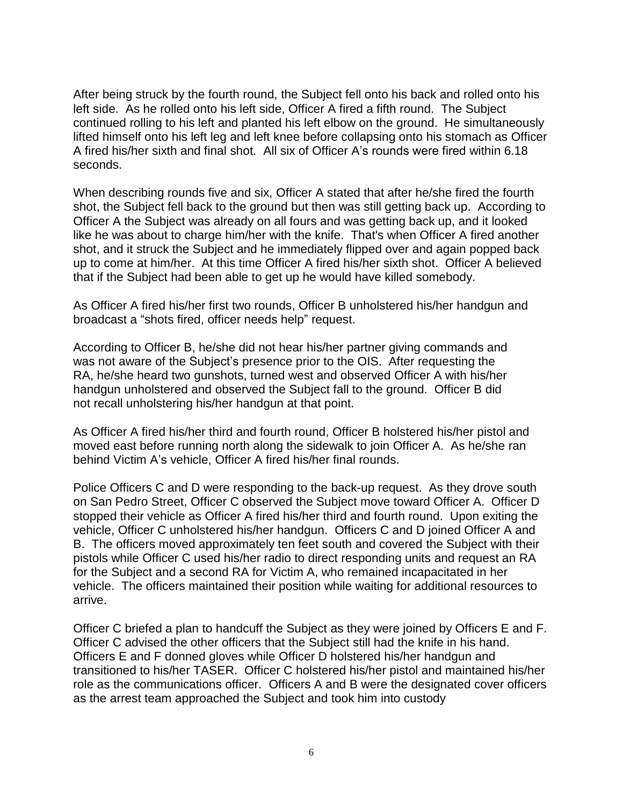After being struck by the fourth round, the Subject fell onto his back and rolled onto his left side. As he rolled onto his left side, Officer A fired a fifth round. The Subject continued rolling to his left and planted his left elbow on the ground. He simultaneously lifted himself onto his left leg and left knee before collapsing onto his stomach as Officer A fired his/her sixth and final shot. All six of Officer A's rounds were fired within 6.18 seconds.

When describing rounds five and six, Officer A stated that after he/she fired the fourth shot, the Subject fell back to the ground but then was still getting back up. According to Officer A the Subject was already on all fours and was getting back up, and it looked like he was about to charge him/her with the knife. That's when Officer A fired another shot, and it struck the Subject and he immediately flipped over and again popped back up to come at him/her. At this time Officer A fired his/her sixth shot. Officer A believed that if the Subject had been able to get up he would have killed somebody.

As Officer A fired his/her first two rounds, Officer B unholstered his/her handgun and broadcast a "shots fired, officer needs help" request.

According to Officer B, he/she did not hear his/her partner giving commands and was not aware of the Subject's presence prior to the OIS. After requesting the RA, he/she heard two gunshots, turned west and observed Officer A with his/her handgun unholstered and observed the Subject fall to the ground. Officer B did not recall unholstering his/her handgun at that point.

As Officer A fired his/her third and fourth round, Officer B holstered his/her pistol and moved east before running north along the sidewalk to join Officer A. As he/she ran behind Victim A's vehicle, Officer A fired his/her final rounds.

Police Officers C and D were responding to the back-up request. As they drove south on San Pedro Street, Officer C observed the Subject move toward Officer A. Officer D stopped their vehicle as Officer A fired his/her third and fourth round. Upon exiting the vehicle, Officer C unholstered his/her handgun. Officers C and D joined Officer A and B. The officers moved approximately ten feet south and covered the Subject with their pistols while Officer C used his/her radio to direct responding units and request an RA for the Subject and a second RA for Victim A, who remained incapacitated in her vehicle. The officers maintained their position while waiting for additional resources to arrive.

Officer C briefed a plan to handcuff the Subject as they were joined by Officers E and F. Officer C advised the other officers that the Subject still had the knife in his hand. Officers E and F donned gloves while Officer D holstered his/her handgun and transitioned to his/her TASER. Officer C holstered his/her pistol and maintained his/her role as the communications officer. Officers A and B were the designated cover officers as the arrest team approached the Subject and took him into custody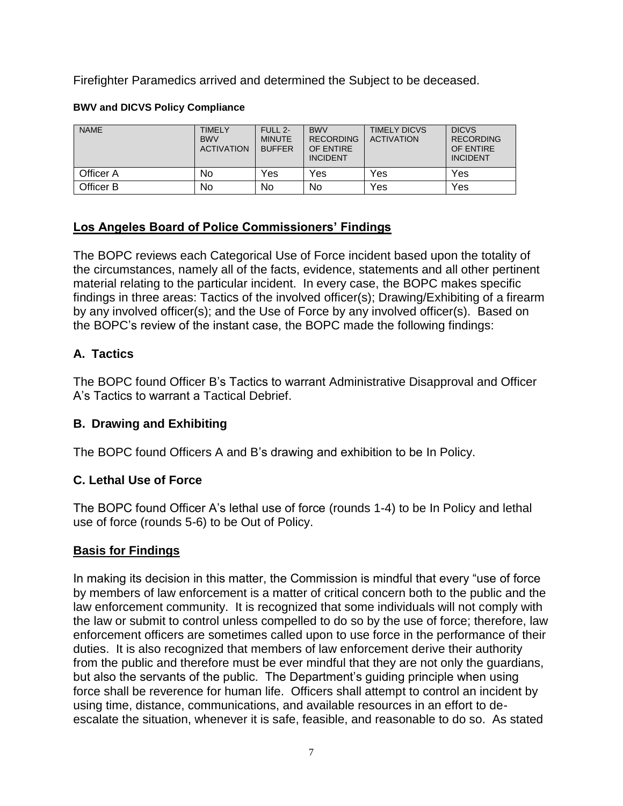Firefighter Paramedics arrived and determined the Subject to be deceased.

### **BWV and DICVS Policy Compliance**

| <b>NAME</b> | TIMELY<br><b>BWV</b><br><b>ACTIVATION</b> | FULL 2-<br><b>MINUTE</b><br><b>BUFFER</b> | <b>BWV</b><br><b>RECORDING</b><br>OF ENTIRE<br><b>INCIDENT</b> | <b>TIMELY DICVS</b><br><b>ACTIVATION</b> | <b>DICVS</b><br><b>RECORDING</b><br>OF ENTIRE<br><b>INCIDENT</b> |
|-------------|-------------------------------------------|-------------------------------------------|----------------------------------------------------------------|------------------------------------------|------------------------------------------------------------------|
| Officer A   | No                                        | Yes                                       | Yes                                                            | Yes                                      | Yes                                                              |
| Officer B   | No                                        | <b>No</b>                                 | No                                                             | Yes                                      | Yes                                                              |

# **Los Angeles Board of Police Commissioners' Findings**

The BOPC reviews each Categorical Use of Force incident based upon the totality of the circumstances, namely all of the facts, evidence, statements and all other pertinent material relating to the particular incident. In every case, the BOPC makes specific findings in three areas: Tactics of the involved officer(s); Drawing/Exhibiting of a firearm by any involved officer(s); and the Use of Force by any involved officer(s). Based on the BOPC's review of the instant case, the BOPC made the following findings:

# **A. Tactics**

The BOPC found Officer B's Tactics to warrant Administrative Disapproval and Officer A's Tactics to warrant a Tactical Debrief.

# **B. Drawing and Exhibiting**

The BOPC found Officers A and B's drawing and exhibition to be In Policy.

# **C. Lethal Use of Force**

The BOPC found Officer A's lethal use of force (rounds 1-4) to be In Policy and lethal use of force (rounds 5-6) to be Out of Policy.

# **Basis for Findings**

In making its decision in this matter, the Commission is mindful that every "use of force by members of law enforcement is a matter of critical concern both to the public and the law enforcement community. It is recognized that some individuals will not comply with the law or submit to control unless compelled to do so by the use of force; therefore, law enforcement officers are sometimes called upon to use force in the performance of their duties. It is also recognized that members of law enforcement derive their authority from the public and therefore must be ever mindful that they are not only the guardians, but also the servants of the public. The Department's guiding principle when using force shall be reverence for human life. Officers shall attempt to control an incident by using time, distance, communications, and available resources in an effort to deescalate the situation, whenever it is safe, feasible, and reasonable to do so. As stated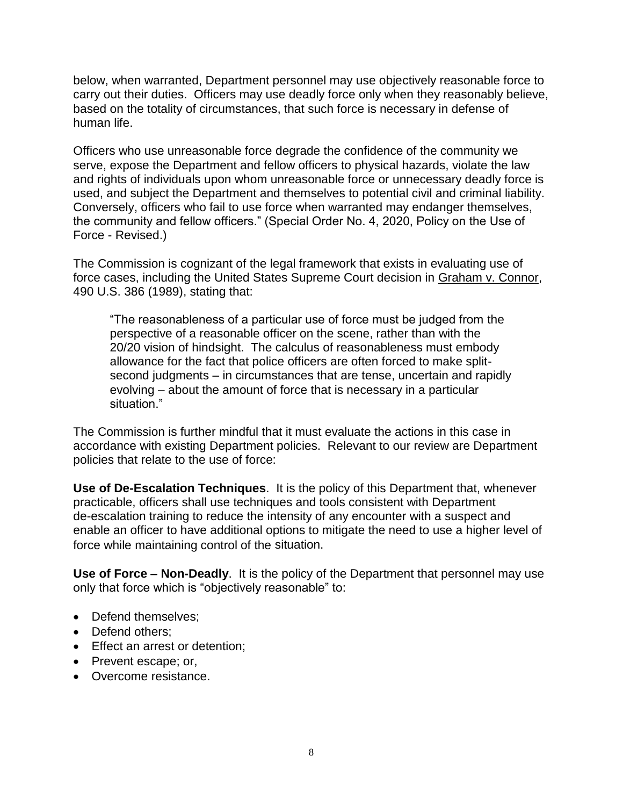below, when warranted, Department personnel may use objectively reasonable force to carry out their duties. Officers may use deadly force only when they reasonably believe, based on the totality of circumstances, that such force is necessary in defense of human life.

Officers who use unreasonable force degrade the confidence of the community we serve, expose the Department and fellow officers to physical hazards, violate the law and rights of individuals upon whom unreasonable force or unnecessary deadly force is used, and subject the Department and themselves to potential civil and criminal liability. Conversely, officers who fail to use force when warranted may endanger themselves, the community and fellow officers." (Special Order No. 4, 2020, Policy on the Use of Force - Revised.)

The Commission is cognizant of the legal framework that exists in evaluating use of force cases, including the United States Supreme Court decision in Graham v. Connor, 490 U.S. 386 (1989), stating that:

"The reasonableness of a particular use of force must be judged from the perspective of a reasonable officer on the scene, rather than with the 20/20 vision of hindsight. The calculus of reasonableness must embody allowance for the fact that police officers are often forced to make splitsecond judgments – in circumstances that are tense, uncertain and rapidly evolving – about the amount of force that is necessary in a particular situation."

The Commission is further mindful that it must evaluate the actions in this case in accordance with existing Department policies. Relevant to our review are Department policies that relate to the use of force:

**Use of De-Escalation Techniques**. It is the policy of this Department that, whenever practicable, officers shall use techniques and tools consistent with Department de-escalation training to reduce the intensity of any encounter with a suspect and enable an officer to have additional options to mitigate the need to use a higher level of force while maintaining control of the situation.

**Use of Force – Non-Deadly**. It is the policy of the Department that personnel may use only that force which is "objectively reasonable" to:

- Defend themselves:
- Defend others:
- Effect an arrest or detention;
- Prevent escape; or,
- Overcome resistance.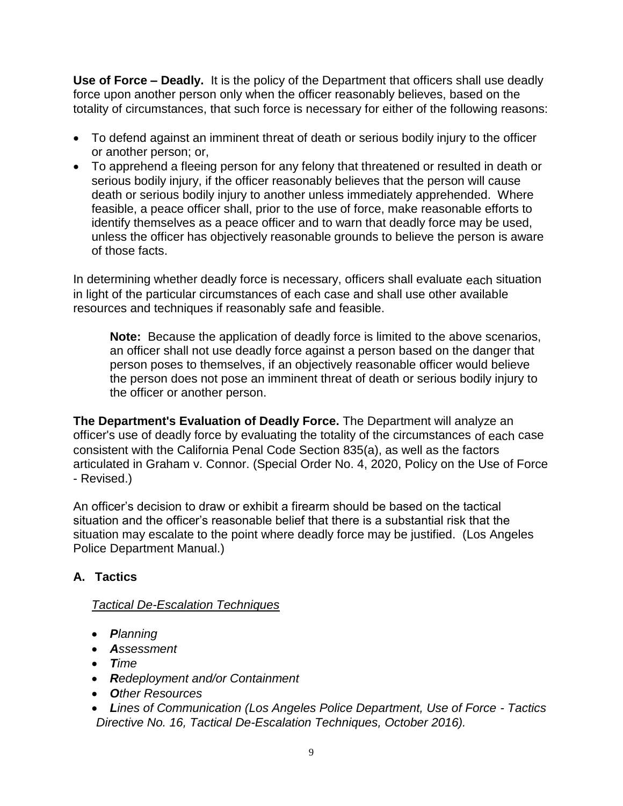**Use of Force – Deadly.** It is the policy of the Department that officers shall use deadly force upon another person only when the officer reasonably believes, based on the totality of circumstances, that such force is necessary for either of the following reasons:

- To defend against an imminent threat of death or serious bodily injury to the officer or another person; or,
- To apprehend a fleeing person for any felony that threatened or resulted in death or serious bodily injury, if the officer reasonably believes that the person will cause death or serious bodily injury to another unless immediately apprehended. Where feasible, a peace officer shall, prior to the use of force, make reasonable efforts to identify themselves as a peace officer and to warn that deadly force may be used, unless the officer has objectively reasonable grounds to believe the person is aware of those facts.

In determining whether deadly force is necessary, officers shall evaluate each situation in light of the particular circumstances of each case and shall use other available resources and techniques if reasonably safe and feasible.

**Note:** Because the application of deadly force is limited to the above scenarios, an officer shall not use deadly force against a person based on the danger that person poses to themselves, if an objectively reasonable officer would believe the person does not pose an imminent threat of death or serious bodily injury to the officer or another person.

**The Department's Evaluation of Deadly Force.** The Department will analyze an officer's use of deadly force by evaluating the totality of the circumstances of each case consistent with the California Penal Code Section 835(a), as well as the factors articulated in Graham v. Connor. (Special Order No. 4, 2020, Policy on the Use of Force - Revised.)

An officer's decision to draw or exhibit a firearm should be based on the tactical situation and the officer's reasonable belief that there is a substantial risk that the situation may escalate to the point where deadly force may be justified. (Los Angeles Police Department Manual.)

# **A. Tactics**

### *Tactical De-Escalation Techniques*

- *Planning*
- *Assessment*
- *Time*
- *Redeployment and/or Containment*
- *Other Resources*
- *Lines of Communication (Los Angeles Police Department, Use of Force - Tactics Directive No. 16, Tactical De-Escalation Techniques, October 2016).*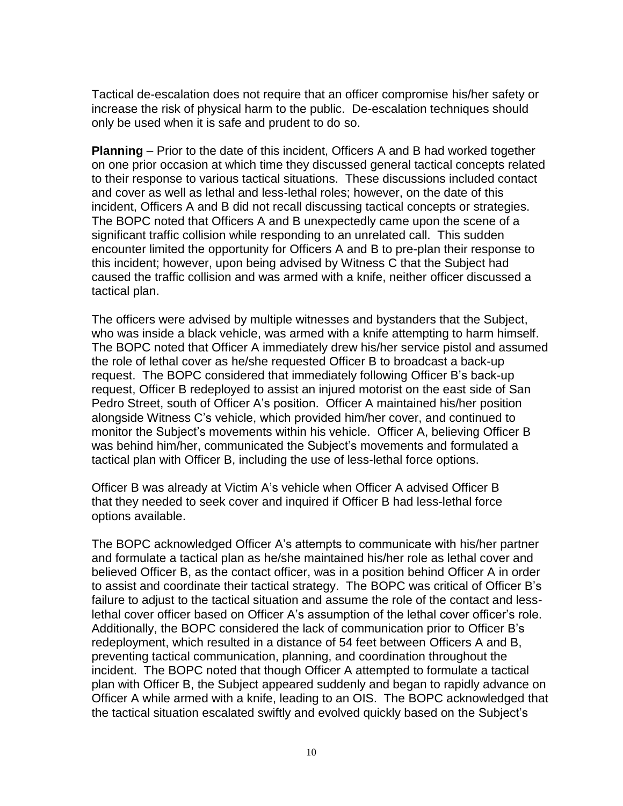Tactical de-escalation does not require that an officer compromise his/her safety or increase the risk of physical harm to the public. De-escalation techniques should only be used when it is safe and prudent to do so.

**Planning** – Prior to the date of this incident, Officers A and B had worked together on one prior occasion at which time they discussed general tactical concepts related to their response to various tactical situations. These discussions included contact and cover as well as lethal and less-lethal roles; however, on the date of this incident, Officers A and B did not recall discussing tactical concepts or strategies. The BOPC noted that Officers A and B unexpectedly came upon the scene of a significant traffic collision while responding to an unrelated call. This sudden encounter limited the opportunity for Officers A and B to pre-plan their response to this incident; however, upon being advised by Witness C that the Subject had caused the traffic collision and was armed with a knife, neither officer discussed a tactical plan.

The officers were advised by multiple witnesses and bystanders that the Subject, who was inside a black vehicle, was armed with a knife attempting to harm himself. The BOPC noted that Officer A immediately drew his/her service pistol and assumed the role of lethal cover as he/she requested Officer B to broadcast a back-up request. The BOPC considered that immediately following Officer B's back-up request, Officer B redeployed to assist an injured motorist on the east side of San Pedro Street, south of Officer A's position. Officer A maintained his/her position alongside Witness C's vehicle, which provided him/her cover, and continued to monitor the Subject's movements within his vehicle. Officer A, believing Officer B was behind him/her, communicated the Subject's movements and formulated a tactical plan with Officer B, including the use of less-lethal force options.

Officer B was already at Victim A's vehicle when Officer A advised Officer B that they needed to seek cover and inquired if Officer B had less-lethal force options available.

The BOPC acknowledged Officer A's attempts to communicate with his/her partner and formulate a tactical plan as he/she maintained his/her role as lethal cover and believed Officer B, as the contact officer, was in a position behind Officer A in order to assist and coordinate their tactical strategy. The BOPC was critical of Officer B's failure to adjust to the tactical situation and assume the role of the contact and lesslethal cover officer based on Officer A's assumption of the lethal cover officer's role. Additionally, the BOPC considered the lack of communication prior to Officer B's redeployment, which resulted in a distance of 54 feet between Officers A and B, preventing tactical communication, planning, and coordination throughout the incident. The BOPC noted that though Officer A attempted to formulate a tactical plan with Officer B, the Subject appeared suddenly and began to rapidly advance on Officer A while armed with a knife, leading to an OIS. The BOPC acknowledged that the tactical situation escalated swiftly and evolved quickly based on the Subject's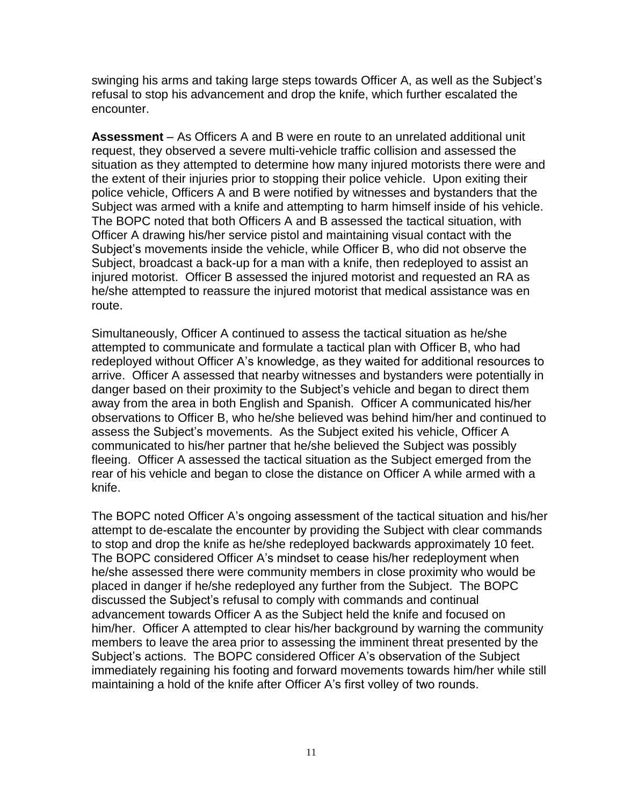swinging his arms and taking large steps towards Officer A, as well as the Subject's refusal to stop his advancement and drop the knife, which further escalated the encounter.

**Assessment** – As Officers A and B were en route to an unrelated additional unit request, they observed a severe multi-vehicle traffic collision and assessed the situation as they attempted to determine how many injured motorists there were and the extent of their injuries prior to stopping their police vehicle. Upon exiting their police vehicle, Officers A and B were notified by witnesses and bystanders that the Subject was armed with a knife and attempting to harm himself inside of his vehicle. The BOPC noted that both Officers A and B assessed the tactical situation, with Officer A drawing his/her service pistol and maintaining visual contact with the Subject's movements inside the vehicle, while Officer B, who did not observe the Subject, broadcast a back-up for a man with a knife, then redeployed to assist an injured motorist. Officer B assessed the injured motorist and requested an RA as he/she attempted to reassure the injured motorist that medical assistance was en route.

Simultaneously, Officer A continued to assess the tactical situation as he/she attempted to communicate and formulate a tactical plan with Officer B, who had redeployed without Officer A's knowledge, as they waited for additional resources to arrive. Officer A assessed that nearby witnesses and bystanders were potentially in danger based on their proximity to the Subject's vehicle and began to direct them away from the area in both English and Spanish. Officer A communicated his/her observations to Officer B, who he/she believed was behind him/her and continued to assess the Subject's movements. As the Subject exited his vehicle, Officer A communicated to his/her partner that he/she believed the Subject was possibly fleeing. Officer A assessed the tactical situation as the Subject emerged from the rear of his vehicle and began to close the distance on Officer A while armed with a knife.

The BOPC noted Officer A's ongoing assessment of the tactical situation and his/her attempt to de-escalate the encounter by providing the Subject with clear commands to stop and drop the knife as he/she redeployed backwards approximately 10 feet. The BOPC considered Officer A's mindset to cease his/her redeployment when he/she assessed there were community members in close proximity who would be placed in danger if he/she redeployed any further from the Subject. The BOPC discussed the Subject's refusal to comply with commands and continual advancement towards Officer A as the Subject held the knife and focused on him/her. Officer A attempted to clear his/her background by warning the community members to leave the area prior to assessing the imminent threat presented by the Subject's actions. The BOPC considered Officer A's observation of the Subject immediately regaining his footing and forward movements towards him/her while still maintaining a hold of the knife after Officer A's first volley of two rounds.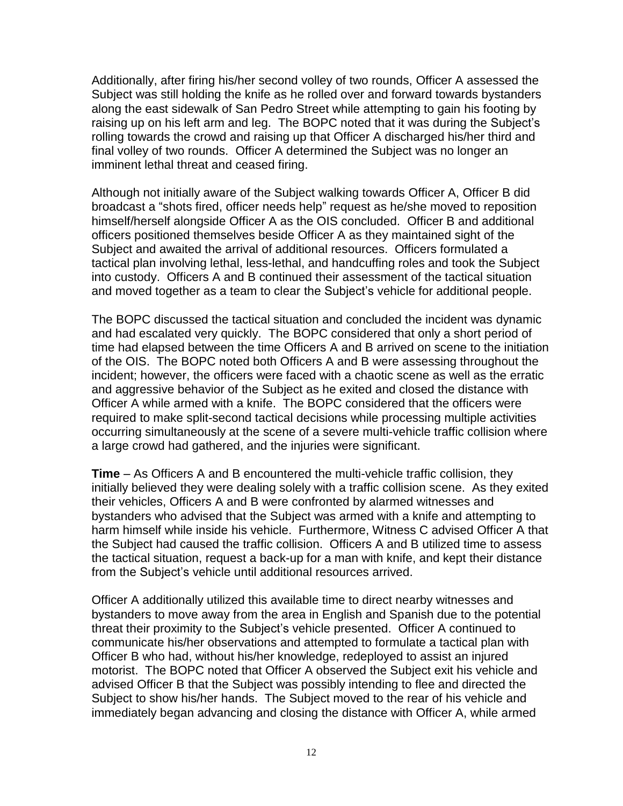Additionally, after firing his/her second volley of two rounds, Officer A assessed the Subject was still holding the knife as he rolled over and forward towards bystanders along the east sidewalk of San Pedro Street while attempting to gain his footing by raising up on his left arm and leg. The BOPC noted that it was during the Subject's rolling towards the crowd and raising up that Officer A discharged his/her third and final volley of two rounds. Officer A determined the Subject was no longer an imminent lethal threat and ceased firing.

Although not initially aware of the Subject walking towards Officer A, Officer B did broadcast a "shots fired, officer needs help" request as he/she moved to reposition himself/herself alongside Officer A as the OIS concluded. Officer B and additional officers positioned themselves beside Officer A as they maintained sight of the Subject and awaited the arrival of additional resources. Officers formulated a tactical plan involving lethal, less-lethal, and handcuffing roles and took the Subject into custody. Officers A and B continued their assessment of the tactical situation and moved together as a team to clear the Subject's vehicle for additional people.

The BOPC discussed the tactical situation and concluded the incident was dynamic and had escalated very quickly. The BOPC considered that only a short period of time had elapsed between the time Officers A and B arrived on scene to the initiation of the OIS. The BOPC noted both Officers A and B were assessing throughout the incident; however, the officers were faced with a chaotic scene as well as the erratic and aggressive behavior of the Subject as he exited and closed the distance with Officer A while armed with a knife. The BOPC considered that the officers were required to make split-second tactical decisions while processing multiple activities occurring simultaneously at the scene of a severe multi-vehicle traffic collision where a large crowd had gathered, and the injuries were significant.

**Time** – As Officers A and B encountered the multi-vehicle traffic collision, they initially believed they were dealing solely with a traffic collision scene. As they exited their vehicles, Officers A and B were confronted by alarmed witnesses and bystanders who advised that the Subject was armed with a knife and attempting to harm himself while inside his vehicle. Furthermore, Witness C advised Officer A that the Subject had caused the traffic collision. Officers A and B utilized time to assess the tactical situation, request a back-up for a man with knife, and kept their distance from the Subject's vehicle until additional resources arrived.

Officer A additionally utilized this available time to direct nearby witnesses and bystanders to move away from the area in English and Spanish due to the potential threat their proximity to the Subject's vehicle presented. Officer A continued to communicate his/her observations and attempted to formulate a tactical plan with Officer B who had, without his/her knowledge, redeployed to assist an injured motorist. The BOPC noted that Officer A observed the Subject exit his vehicle and advised Officer B that the Subject was possibly intending to flee and directed the Subject to show his/her hands. The Subject moved to the rear of his vehicle and immediately began advancing and closing the distance with Officer A, while armed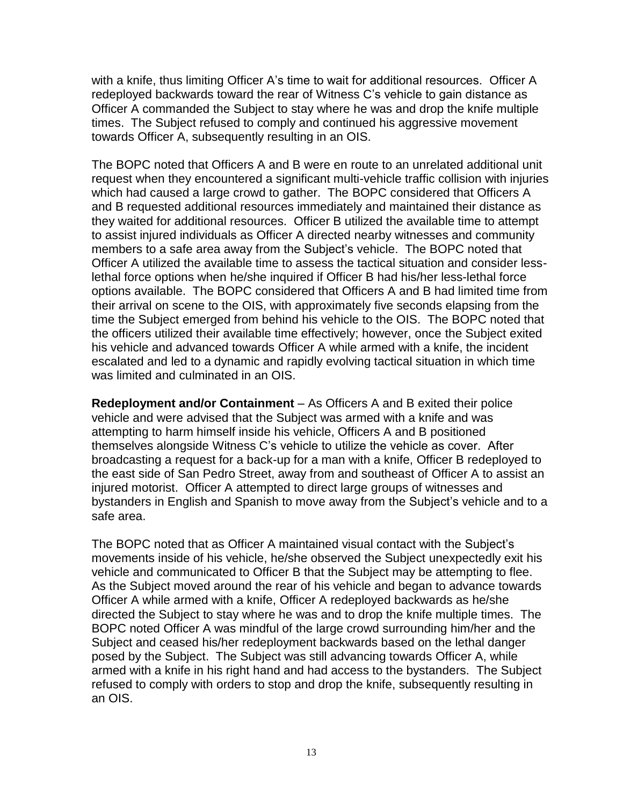with a knife, thus limiting Officer A's time to wait for additional resources. Officer A redeployed backwards toward the rear of Witness C's vehicle to gain distance as Officer A commanded the Subject to stay where he was and drop the knife multiple times. The Subject refused to comply and continued his aggressive movement towards Officer A, subsequently resulting in an OIS.

The BOPC noted that Officers A and B were en route to an unrelated additional unit request when they encountered a significant multi-vehicle traffic collision with injuries which had caused a large crowd to gather. The BOPC considered that Officers A and B requested additional resources immediately and maintained their distance as they waited for additional resources. Officer B utilized the available time to attempt to assist injured individuals as Officer A directed nearby witnesses and community members to a safe area away from the Subject's vehicle. The BOPC noted that Officer A utilized the available time to assess the tactical situation and consider lesslethal force options when he/she inquired if Officer B had his/her less-lethal force options available. The BOPC considered that Officers A and B had limited time from their arrival on scene to the OIS, with approximately five seconds elapsing from the time the Subject emerged from behind his vehicle to the OIS. The BOPC noted that the officers utilized their available time effectively; however, once the Subject exited his vehicle and advanced towards Officer A while armed with a knife, the incident escalated and led to a dynamic and rapidly evolving tactical situation in which time was limited and culminated in an OIS.

**Redeployment and/or Containment** – As Officers A and B exited their police vehicle and were advised that the Subject was armed with a knife and was attempting to harm himself inside his vehicle, Officers A and B positioned themselves alongside Witness C's vehicle to utilize the vehicle as cover. After broadcasting a request for a back-up for a man with a knife, Officer B redeployed to the east side of San Pedro Street, away from and southeast of Officer A to assist an injured motorist. Officer A attempted to direct large groups of witnesses and bystanders in English and Spanish to move away from the Subject's vehicle and to a safe area.

The BOPC noted that as Officer A maintained visual contact with the Subject's movements inside of his vehicle, he/she observed the Subject unexpectedly exit his vehicle and communicated to Officer B that the Subject may be attempting to flee. As the Subject moved around the rear of his vehicle and began to advance towards Officer A while armed with a knife, Officer A redeployed backwards as he/she directed the Subject to stay where he was and to drop the knife multiple times. The BOPC noted Officer A was mindful of the large crowd surrounding him/her and the Subject and ceased his/her redeployment backwards based on the lethal danger posed by the Subject. The Subject was still advancing towards Officer A, while armed with a knife in his right hand and had access to the bystanders. The Subject refused to comply with orders to stop and drop the knife, subsequently resulting in an OIS.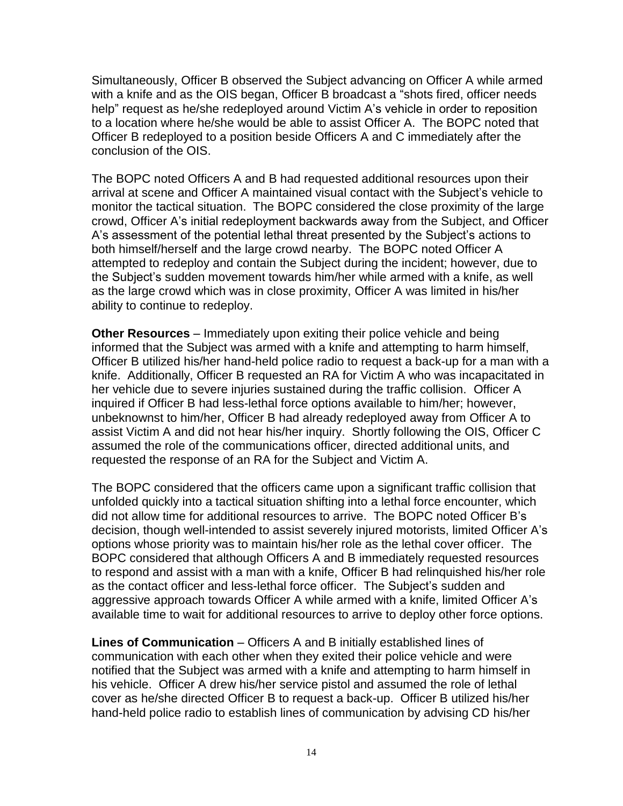Simultaneously, Officer B observed the Subject advancing on Officer A while armed with a knife and as the OIS began, Officer B broadcast a "shots fired, officer needs help" request as he/she redeployed around Victim A's vehicle in order to reposition to a location where he/she would be able to assist Officer A. The BOPC noted that Officer B redeployed to a position beside Officers A and C immediately after the conclusion of the OIS.

The BOPC noted Officers A and B had requested additional resources upon their arrival at scene and Officer A maintained visual contact with the Subject's vehicle to monitor the tactical situation. The BOPC considered the close proximity of the large crowd, Officer A's initial redeployment backwards away from the Subject, and Officer A's assessment of the potential lethal threat presented by the Subject's actions to both himself/herself and the large crowd nearby. The BOPC noted Officer A attempted to redeploy and contain the Subject during the incident; however, due to the Subject's sudden movement towards him/her while armed with a knife, as well as the large crowd which was in close proximity, Officer A was limited in his/her ability to continue to redeploy.

**Other Resources** – Immediately upon exiting their police vehicle and being informed that the Subject was armed with a knife and attempting to harm himself, Officer B utilized his/her hand-held police radio to request a back-up for a man with a knife. Additionally, Officer B requested an RA for Victim A who was incapacitated in her vehicle due to severe injuries sustained during the traffic collision. Officer A inquired if Officer B had less-lethal force options available to him/her; however, unbeknownst to him/her, Officer B had already redeployed away from Officer A to assist Victim A and did not hear his/her inquiry. Shortly following the OIS, Officer C assumed the role of the communications officer, directed additional units, and requested the response of an RA for the Subject and Victim A.

The BOPC considered that the officers came upon a significant traffic collision that unfolded quickly into a tactical situation shifting into a lethal force encounter, which did not allow time for additional resources to arrive. The BOPC noted Officer B's decision, though well-intended to assist severely injured motorists, limited Officer A's options whose priority was to maintain his/her role as the lethal cover officer. The BOPC considered that although Officers A and B immediately requested resources to respond and assist with a man with a knife, Officer B had relinquished his/her role as the contact officer and less-lethal force officer. The Subject's sudden and aggressive approach towards Officer A while armed with a knife, limited Officer A's available time to wait for additional resources to arrive to deploy other force options.

**Lines of Communication** – Officers A and B initially established lines of communication with each other when they exited their police vehicle and were notified that the Subject was armed with a knife and attempting to harm himself in his vehicle. Officer A drew his/her service pistol and assumed the role of lethal cover as he/she directed Officer B to request a back-up. Officer B utilized his/her hand-held police radio to establish lines of communication by advising CD his/her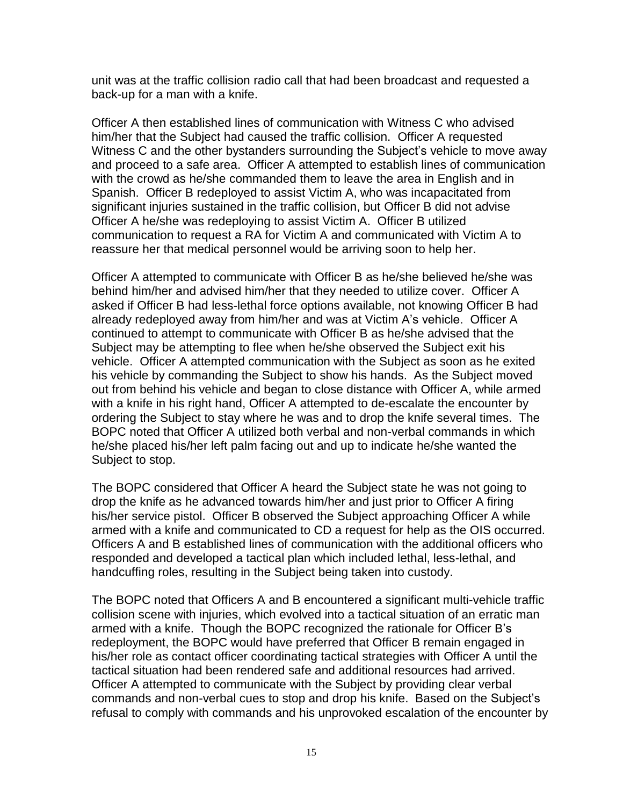unit was at the traffic collision radio call that had been broadcast and requested a back-up for a man with a knife.

Officer A then established lines of communication with Witness C who advised him/her that the Subject had caused the traffic collision. Officer A requested Witness C and the other bystanders surrounding the Subject's vehicle to move away and proceed to a safe area. Officer A attempted to establish lines of communication with the crowd as he/she commanded them to leave the area in English and in Spanish. Officer B redeployed to assist Victim A, who was incapacitated from significant injuries sustained in the traffic collision, but Officer B did not advise Officer A he/she was redeploying to assist Victim A. Officer B utilized communication to request a RA for Victim A and communicated with Victim A to reassure her that medical personnel would be arriving soon to help her.

Officer A attempted to communicate with Officer B as he/she believed he/she was behind him/her and advised him/her that they needed to utilize cover. Officer A asked if Officer B had less-lethal force options available, not knowing Officer B had already redeployed away from him/her and was at Victim A's vehicle. Officer A continued to attempt to communicate with Officer B as he/she advised that the Subject may be attempting to flee when he/she observed the Subject exit his vehicle. Officer A attempted communication with the Subject as soon as he exited his vehicle by commanding the Subject to show his hands. As the Subject moved out from behind his vehicle and began to close distance with Officer A, while armed with a knife in his right hand, Officer A attempted to de-escalate the encounter by ordering the Subject to stay where he was and to drop the knife several times. The BOPC noted that Officer A utilized both verbal and non-verbal commands in which he/she placed his/her left palm facing out and up to indicate he/she wanted the Subject to stop.

The BOPC considered that Officer A heard the Subject state he was not going to drop the knife as he advanced towards him/her and just prior to Officer A firing his/her service pistol. Officer B observed the Subject approaching Officer A while armed with a knife and communicated to CD a request for help as the OIS occurred. Officers A and B established lines of communication with the additional officers who responded and developed a tactical plan which included lethal, less-lethal, and handcuffing roles, resulting in the Subject being taken into custody.

The BOPC noted that Officers A and B encountered a significant multi-vehicle traffic collision scene with injuries, which evolved into a tactical situation of an erratic man armed with a knife. Though the BOPC recognized the rationale for Officer B's redeployment, the BOPC would have preferred that Officer B remain engaged in his/her role as contact officer coordinating tactical strategies with Officer A until the tactical situation had been rendered safe and additional resources had arrived. Officer A attempted to communicate with the Subject by providing clear verbal commands and non-verbal cues to stop and drop his knife. Based on the Subject's refusal to comply with commands and his unprovoked escalation of the encounter by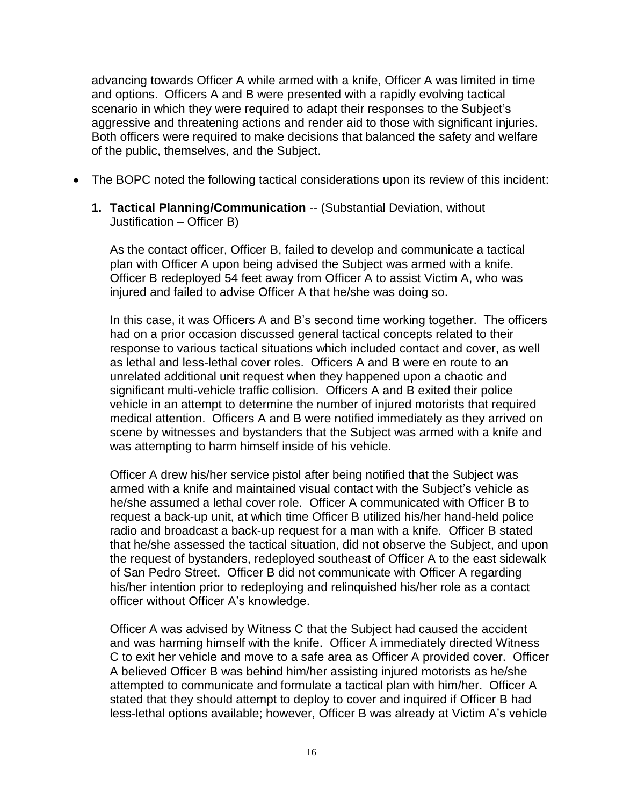advancing towards Officer A while armed with a knife, Officer A was limited in time and options. Officers A and B were presented with a rapidly evolving tactical scenario in which they were required to adapt their responses to the Subject's aggressive and threatening actions and render aid to those with significant injuries. Both officers were required to make decisions that balanced the safety and welfare of the public, themselves, and the Subject.

- The BOPC noted the following tactical considerations upon its review of this incident:
	- **1. Tactical Planning/Communication** -- (Substantial Deviation, without Justification – Officer B)

As the contact officer, Officer B, failed to develop and communicate a tactical plan with Officer A upon being advised the Subject was armed with a knife. Officer B redeployed 54 feet away from Officer A to assist Victim A, who was injured and failed to advise Officer A that he/she was doing so.

In this case, it was Officers A and B's second time working together. The officers had on a prior occasion discussed general tactical concepts related to their response to various tactical situations which included contact and cover, as well as lethal and less-lethal cover roles. Officers A and B were en route to an unrelated additional unit request when they happened upon a chaotic and significant multi-vehicle traffic collision. Officers A and B exited their police vehicle in an attempt to determine the number of injured motorists that required medical attention. Officers A and B were notified immediately as they arrived on scene by witnesses and bystanders that the Subject was armed with a knife and was attempting to harm himself inside of his vehicle.

Officer A drew his/her service pistol after being notified that the Subject was armed with a knife and maintained visual contact with the Subject's vehicle as he/she assumed a lethal cover role. Officer A communicated with Officer B to request a back-up unit, at which time Officer B utilized his/her hand-held police radio and broadcast a back-up request for a man with a knife. Officer B stated that he/she assessed the tactical situation, did not observe the Subject, and upon the request of bystanders, redeployed southeast of Officer A to the east sidewalk of San Pedro Street. Officer B did not communicate with Officer A regarding his/her intention prior to redeploying and relinquished his/her role as a contact officer without Officer A's knowledge.

Officer A was advised by Witness C that the Subject had caused the accident and was harming himself with the knife. Officer A immediately directed Witness C to exit her vehicle and move to a safe area as Officer A provided cover. Officer A believed Officer B was behind him/her assisting injured motorists as he/she attempted to communicate and formulate a tactical plan with him/her. Officer A stated that they should attempt to deploy to cover and inquired if Officer B had less-lethal options available; however, Officer B was already at Victim A's vehicle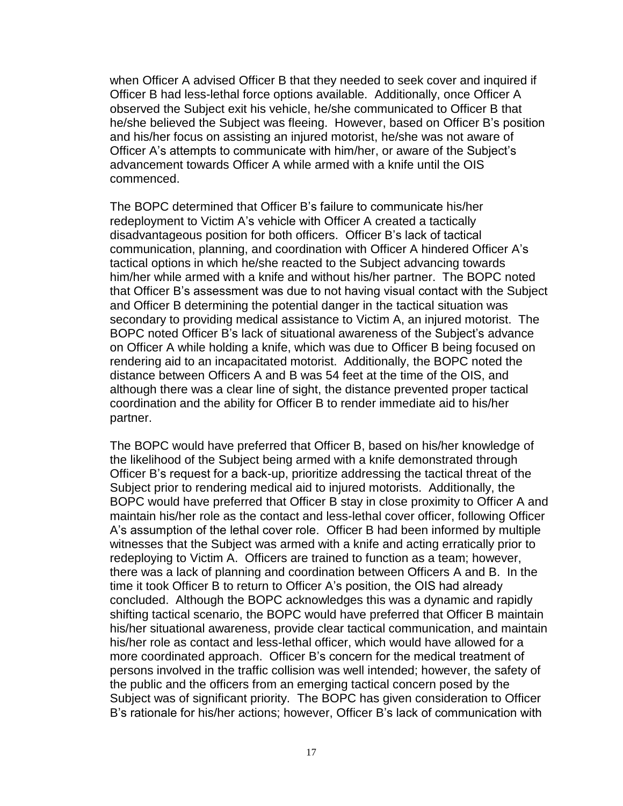when Officer A advised Officer B that they needed to seek cover and inquired if Officer B had less-lethal force options available. Additionally, once Officer A observed the Subject exit his vehicle, he/she communicated to Officer B that he/she believed the Subject was fleeing. However, based on Officer B's position and his/her focus on assisting an injured motorist, he/she was not aware of Officer A's attempts to communicate with him/her, or aware of the Subject's advancement towards Officer A while armed with a knife until the OIS commenced.

The BOPC determined that Officer B's failure to communicate his/her redeployment to Victim A's vehicle with Officer A created a tactically disadvantageous position for both officers. Officer B's lack of tactical communication, planning, and coordination with Officer A hindered Officer A's tactical options in which he/she reacted to the Subject advancing towards him/her while armed with a knife and without his/her partner. The BOPC noted that Officer B's assessment was due to not having visual contact with the Subject and Officer B determining the potential danger in the tactical situation was secondary to providing medical assistance to Victim A, an injured motorist. The BOPC noted Officer B's lack of situational awareness of the Subject's advance on Officer A while holding a knife, which was due to Officer B being focused on rendering aid to an incapacitated motorist. Additionally, the BOPC noted the distance between Officers A and B was 54 feet at the time of the OIS, and although there was a clear line of sight, the distance prevented proper tactical coordination and the ability for Officer B to render immediate aid to his/her partner.

The BOPC would have preferred that Officer B, based on his/her knowledge of the likelihood of the Subject being armed with a knife demonstrated through Officer B's request for a back-up, prioritize addressing the tactical threat of the Subject prior to rendering medical aid to injured motorists. Additionally, the BOPC would have preferred that Officer B stay in close proximity to Officer A and maintain his/her role as the contact and less-lethal cover officer, following Officer A's assumption of the lethal cover role. Officer B had been informed by multiple witnesses that the Subject was armed with a knife and acting erratically prior to redeploying to Victim A. Officers are trained to function as a team; however, there was a lack of planning and coordination between Officers A and B. In the time it took Officer B to return to Officer A's position, the OIS had already concluded. Although the BOPC acknowledges this was a dynamic and rapidly shifting tactical scenario, the BOPC would have preferred that Officer B maintain his/her situational awareness, provide clear tactical communication, and maintain his/her role as contact and less-lethal officer, which would have allowed for a more coordinated approach. Officer B's concern for the medical treatment of persons involved in the traffic collision was well intended; however, the safety of the public and the officers from an emerging tactical concern posed by the Subject was of significant priority. The BOPC has given consideration to Officer B's rationale for his/her actions; however, Officer B's lack of communication with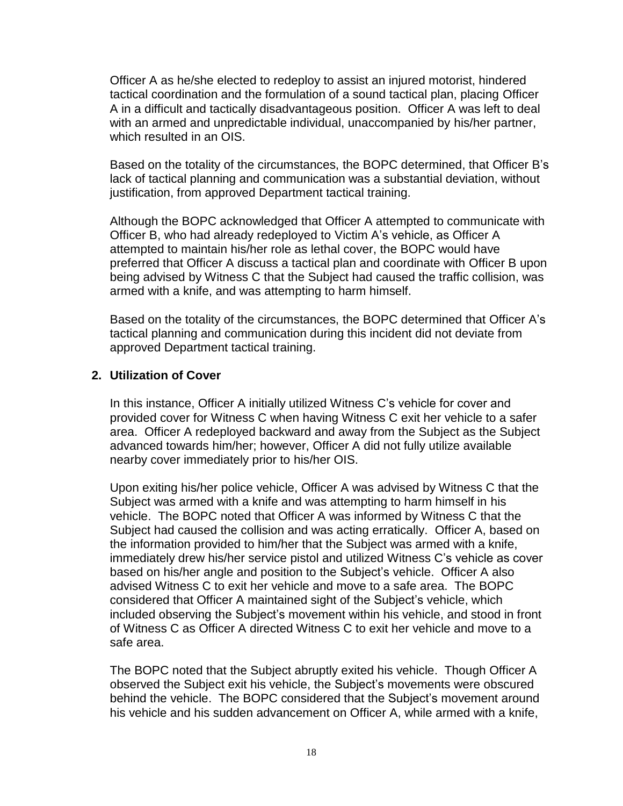Officer A as he/she elected to redeploy to assist an injured motorist, hindered tactical coordination and the formulation of a sound tactical plan, placing Officer A in a difficult and tactically disadvantageous position. Officer A was left to deal with an armed and unpredictable individual, unaccompanied by his/her partner, which resulted in an OIS.

Based on the totality of the circumstances, the BOPC determined, that Officer B's lack of tactical planning and communication was a substantial deviation, without justification, from approved Department tactical training.

Although the BOPC acknowledged that Officer A attempted to communicate with Officer B, who had already redeployed to Victim A's vehicle, as Officer A attempted to maintain his/her role as lethal cover, the BOPC would have preferred that Officer A discuss a tactical plan and coordinate with Officer B upon being advised by Witness C that the Subject had caused the traffic collision, was armed with a knife, and was attempting to harm himself.

Based on the totality of the circumstances, the BOPC determined that Officer A's tactical planning and communication during this incident did not deviate from approved Department tactical training.

#### **2. Utilization of Cover**

In this instance, Officer A initially utilized Witness C's vehicle for cover and provided cover for Witness C when having Witness C exit her vehicle to a safer area. Officer A redeployed backward and away from the Subject as the Subject advanced towards him/her; however, Officer A did not fully utilize available nearby cover immediately prior to his/her OIS.

Upon exiting his/her police vehicle, Officer A was advised by Witness C that the Subject was armed with a knife and was attempting to harm himself in his vehicle. The BOPC noted that Officer A was informed by Witness C that the Subject had caused the collision and was acting erratically. Officer A, based on the information provided to him/her that the Subject was armed with a knife, immediately drew his/her service pistol and utilized Witness C's vehicle as cover based on his/her angle and position to the Subject's vehicle. Officer A also advised Witness C to exit her vehicle and move to a safe area. The BOPC considered that Officer A maintained sight of the Subject's vehicle, which included observing the Subject's movement within his vehicle, and stood in front of Witness C as Officer A directed Witness C to exit her vehicle and move to a safe area.

The BOPC noted that the Subject abruptly exited his vehicle. Though Officer A observed the Subject exit his vehicle, the Subject's movements were obscured behind the vehicle. The BOPC considered that the Subject's movement around his vehicle and his sudden advancement on Officer A, while armed with a knife,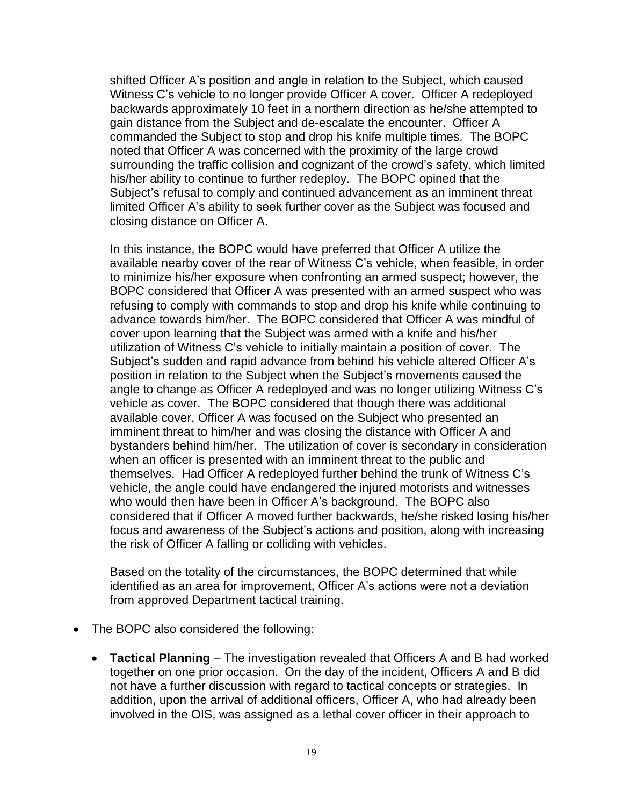shifted Officer A's position and angle in relation to the Subject, which caused Witness C's vehicle to no longer provide Officer A cover. Officer A redeployed backwards approximately 10 feet in a northern direction as he/she attempted to gain distance from the Subject and de-escalate the encounter. Officer A commanded the Subject to stop and drop his knife multiple times. The BOPC noted that Officer A was concerned with the proximity of the large crowd surrounding the traffic collision and cognizant of the crowd's safety, which limited his/her ability to continue to further redeploy. The BOPC opined that the Subject's refusal to comply and continued advancement as an imminent threat limited Officer A's ability to seek further cover as the Subject was focused and closing distance on Officer A.

In this instance, the BOPC would have preferred that Officer A utilize the available nearby cover of the rear of Witness C's vehicle, when feasible, in order to minimize his/her exposure when confronting an armed suspect; however, the BOPC considered that Officer A was presented with an armed suspect who was refusing to comply with commands to stop and drop his knife while continuing to advance towards him/her. The BOPC considered that Officer A was mindful of cover upon learning that the Subject was armed with a knife and his/her utilization of Witness C's vehicle to initially maintain a position of cover. The Subject's sudden and rapid advance from behind his vehicle altered Officer A's position in relation to the Subject when the Subject's movements caused the angle to change as Officer A redeployed and was no longer utilizing Witness C's vehicle as cover. The BOPC considered that though there was additional available cover, Officer A was focused on the Subject who presented an imminent threat to him/her and was closing the distance with Officer A and bystanders behind him/her. The utilization of cover is secondary in consideration when an officer is presented with an imminent threat to the public and themselves. Had Officer A redeployed further behind the trunk of Witness C's vehicle, the angle could have endangered the injured motorists and witnesses who would then have been in Officer A's background. The BOPC also considered that if Officer A moved further backwards, he/she risked losing his/her focus and awareness of the Subject's actions and position, along with increasing the risk of Officer A falling or colliding with vehicles.

Based on the totality of the circumstances, the BOPC determined that while identified as an area for improvement, Officer A's actions were not a deviation from approved Department tactical training.

- The BOPC also considered the following:
	- **Tactical Planning**  The investigation revealed that Officers A and B had worked together on one prior occasion. On the day of the incident, Officers A and B did not have a further discussion with regard to tactical concepts or strategies. In addition, upon the arrival of additional officers, Officer A, who had already been involved in the OIS, was assigned as a lethal cover officer in their approach to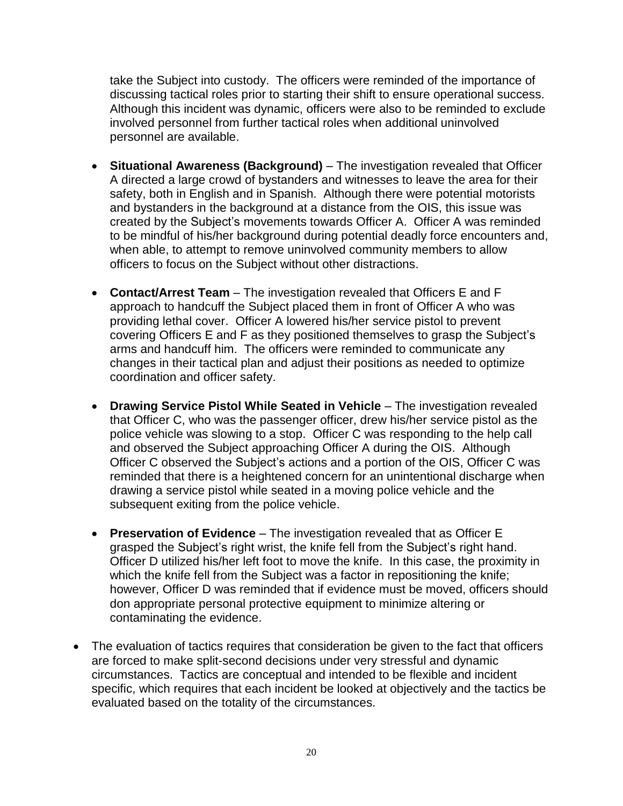take the Subject into custody. The officers were reminded of the importance of discussing tactical roles prior to starting their shift to ensure operational success. Although this incident was dynamic, officers were also to be reminded to exclude involved personnel from further tactical roles when additional uninvolved personnel are available.

- **Situational Awareness (Background)**  The investigation revealed that Officer A directed a large crowd of bystanders and witnesses to leave the area for their safety, both in English and in Spanish. Although there were potential motorists and bystanders in the background at a distance from the OIS, this issue was created by the Subject's movements towards Officer A. Officer A was reminded to be mindful of his/her background during potential deadly force encounters and, when able, to attempt to remove uninvolved community members to allow officers to focus on the Subject without other distractions.
- **Contact/Arrest Team**  The investigation revealed that Officers E and F approach to handcuff the Subject placed them in front of Officer A who was providing lethal cover. Officer A lowered his/her service pistol to prevent covering Officers E and F as they positioned themselves to grasp the Subject's arms and handcuff him. The officers were reminded to communicate any changes in their tactical plan and adjust their positions as needed to optimize coordination and officer safety.
- **Drawing Service Pistol While Seated in Vehicle** The investigation revealed that Officer C, who was the passenger officer, drew his/her service pistol as the police vehicle was slowing to a stop. Officer C was responding to the help call and observed the Subject approaching Officer A during the OIS. Although Officer C observed the Subject's actions and a portion of the OIS, Officer C was reminded that there is a heightened concern for an unintentional discharge when drawing a service pistol while seated in a moving police vehicle and the subsequent exiting from the police vehicle.
- **Preservation of Evidence**  The investigation revealed that as Officer E grasped the Subject's right wrist, the knife fell from the Subject's right hand. Officer D utilized his/her left foot to move the knife. In this case, the proximity in which the knife fell from the Subject was a factor in repositioning the knife; however, Officer D was reminded that if evidence must be moved, officers should don appropriate personal protective equipment to minimize altering or contaminating the evidence.
- The evaluation of tactics requires that consideration be given to the fact that officers are forced to make split-second decisions under very stressful and dynamic circumstances. Tactics are conceptual and intended to be flexible and incident specific, which requires that each incident be looked at objectively and the tactics be evaluated based on the totality of the circumstances.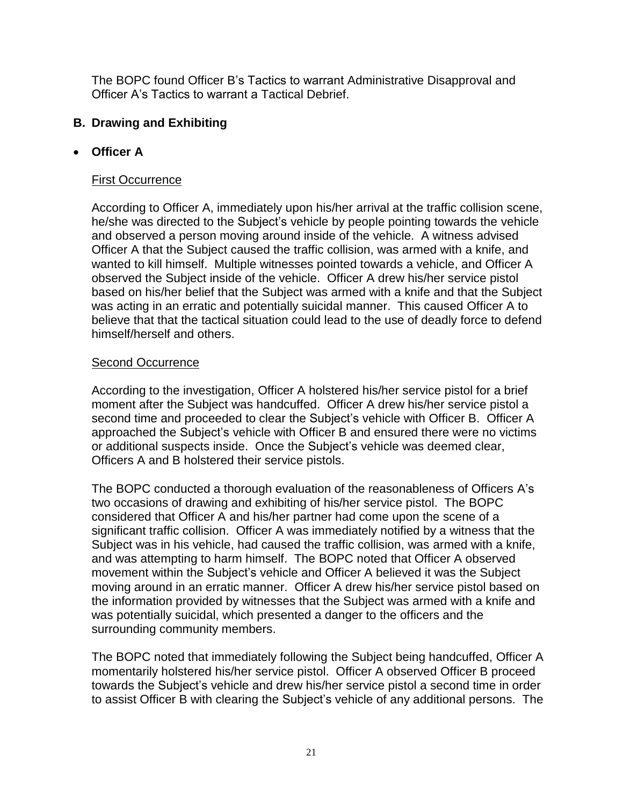The BOPC found Officer B's Tactics to warrant Administrative Disapproval and Officer A's Tactics to warrant a Tactical Debrief.

### **B. Drawing and Exhibiting**

### • **Officer A**

#### First Occurrence

According to Officer A, immediately upon his/her arrival at the traffic collision scene, he/she was directed to the Subject's vehicle by people pointing towards the vehicle and observed a person moving around inside of the vehicle. A witness advised Officer A that the Subject caused the traffic collision, was armed with a knife, and wanted to kill himself. Multiple witnesses pointed towards a vehicle, and Officer A observed the Subject inside of the vehicle. Officer A drew his/her service pistol based on his/her belief that the Subject was armed with a knife and that the Subject was acting in an erratic and potentially suicidal manner. This caused Officer A to believe that that the tactical situation could lead to the use of deadly force to defend himself/herself and others.

#### Second Occurrence

According to the investigation, Officer A holstered his/her service pistol for a brief moment after the Subject was handcuffed. Officer A drew his/her service pistol a second time and proceeded to clear the Subject's vehicle with Officer B. Officer A approached the Subject's vehicle with Officer B and ensured there were no victims or additional suspects inside. Once the Subject's vehicle was deemed clear, Officers A and B holstered their service pistols.

The BOPC conducted a thorough evaluation of the reasonableness of Officers A's two occasions of drawing and exhibiting of his/her service pistol. The BOPC considered that Officer A and his/her partner had come upon the scene of a significant traffic collision. Officer A was immediately notified by a witness that the Subject was in his vehicle, had caused the traffic collision, was armed with a knife, and was attempting to harm himself. The BOPC noted that Officer A observed movement within the Subject's vehicle and Officer A believed it was the Subject moving around in an erratic manner. Officer A drew his/her service pistol based on the information provided by witnesses that the Subject was armed with a knife and was potentially suicidal, which presented a danger to the officers and the surrounding community members.

The BOPC noted that immediately following the Subject being handcuffed, Officer A momentarily holstered his/her service pistol. Officer A observed Officer B proceed towards the Subject's vehicle and drew his/her service pistol a second time in order to assist Officer B with clearing the Subject's vehicle of any additional persons. The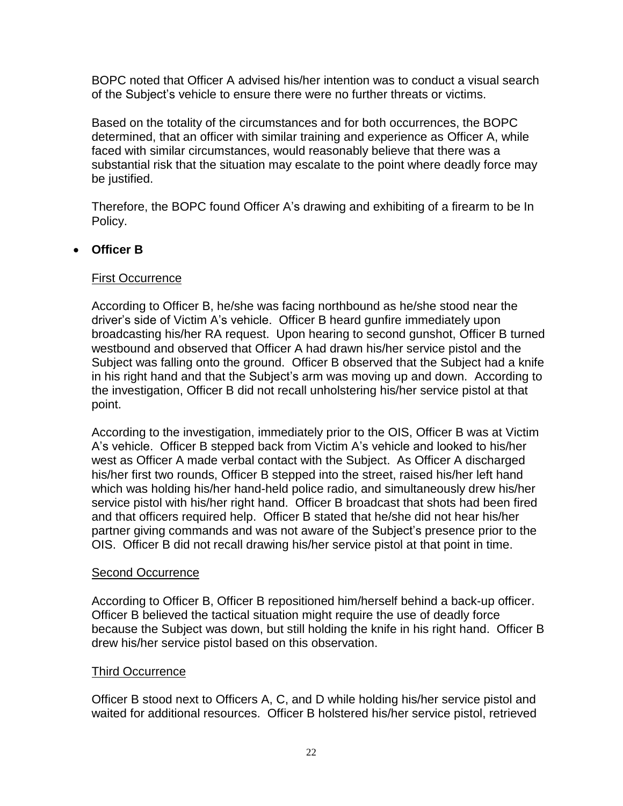BOPC noted that Officer A advised his/her intention was to conduct a visual search of the Subject's vehicle to ensure there were no further threats or victims.

Based on the totality of the circumstances and for both occurrences, the BOPC determined, that an officer with similar training and experience as Officer A, while faced with similar circumstances, would reasonably believe that there was a substantial risk that the situation may escalate to the point where deadly force may be justified.

Therefore, the BOPC found Officer A's drawing and exhibiting of a firearm to be In Policy.

### • **Officer B**

#### First Occurrence

According to Officer B, he/she was facing northbound as he/she stood near the driver's side of Victim A's vehicle. Officer B heard gunfire immediately upon broadcasting his/her RA request. Upon hearing to second gunshot, Officer B turned westbound and observed that Officer A had drawn his/her service pistol and the Subject was falling onto the ground. Officer B observed that the Subject had a knife in his right hand and that the Subject's arm was moving up and down. According to the investigation, Officer B did not recall unholstering his/her service pistol at that point.

According to the investigation, immediately prior to the OIS, Officer B was at Victim A's vehicle. Officer B stepped back from Victim A's vehicle and looked to his/her west as Officer A made verbal contact with the Subject. As Officer A discharged his/her first two rounds, Officer B stepped into the street, raised his/her left hand which was holding his/her hand-held police radio, and simultaneously drew his/her service pistol with his/her right hand. Officer B broadcast that shots had been fired and that officers required help. Officer B stated that he/she did not hear his/her partner giving commands and was not aware of the Subject's presence prior to the OIS. Officer B did not recall drawing his/her service pistol at that point in time.

#### Second Occurrence

According to Officer B, Officer B repositioned him/herself behind a back-up officer. Officer B believed the tactical situation might require the use of deadly force because the Subject was down, but still holding the knife in his right hand. Officer B drew his/her service pistol based on this observation.

#### Third Occurrence

Officer B stood next to Officers A, C, and D while holding his/her service pistol and waited for additional resources. Officer B holstered his/her service pistol, retrieved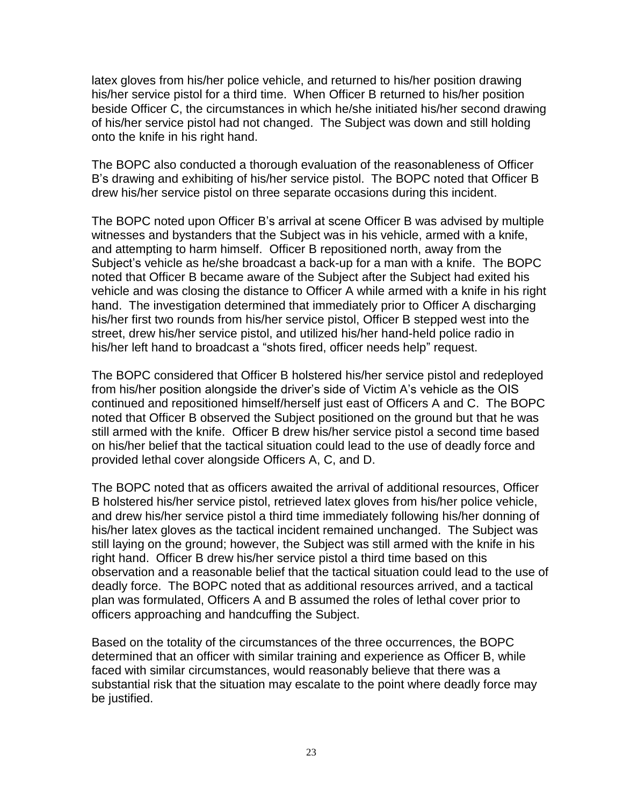latex gloves from his/her police vehicle, and returned to his/her position drawing his/her service pistol for a third time. When Officer B returned to his/her position beside Officer C, the circumstances in which he/she initiated his/her second drawing of his/her service pistol had not changed. The Subject was down and still holding onto the knife in his right hand.

The BOPC also conducted a thorough evaluation of the reasonableness of Officer B's drawing and exhibiting of his/her service pistol. The BOPC noted that Officer B drew his/her service pistol on three separate occasions during this incident.

The BOPC noted upon Officer B's arrival at scene Officer B was advised by multiple witnesses and bystanders that the Subject was in his vehicle, armed with a knife, and attempting to harm himself. Officer B repositioned north, away from the Subject's vehicle as he/she broadcast a back-up for a man with a knife. The BOPC noted that Officer B became aware of the Subject after the Subject had exited his vehicle and was closing the distance to Officer A while armed with a knife in his right hand. The investigation determined that immediately prior to Officer A discharging his/her first two rounds from his/her service pistol, Officer B stepped west into the street, drew his/her service pistol, and utilized his/her hand-held police radio in his/her left hand to broadcast a "shots fired, officer needs help" request.

The BOPC considered that Officer B holstered his/her service pistol and redeployed from his/her position alongside the driver's side of Victim A's vehicle as the OIS continued and repositioned himself/herself just east of Officers A and C. The BOPC noted that Officer B observed the Subject positioned on the ground but that he was still armed with the knife. Officer B drew his/her service pistol a second time based on his/her belief that the tactical situation could lead to the use of deadly force and provided lethal cover alongside Officers A, C, and D.

The BOPC noted that as officers awaited the arrival of additional resources, Officer B holstered his/her service pistol, retrieved latex gloves from his/her police vehicle, and drew his/her service pistol a third time immediately following his/her donning of his/her latex gloves as the tactical incident remained unchanged. The Subject was still laying on the ground; however, the Subject was still armed with the knife in his right hand. Officer B drew his/her service pistol a third time based on this observation and a reasonable belief that the tactical situation could lead to the use of deadly force. The BOPC noted that as additional resources arrived, and a tactical plan was formulated, Officers A and B assumed the roles of lethal cover prior to officers approaching and handcuffing the Subject.

Based on the totality of the circumstances of the three occurrences, the BOPC determined that an officer with similar training and experience as Officer B, while faced with similar circumstances, would reasonably believe that there was a substantial risk that the situation may escalate to the point where deadly force may be justified.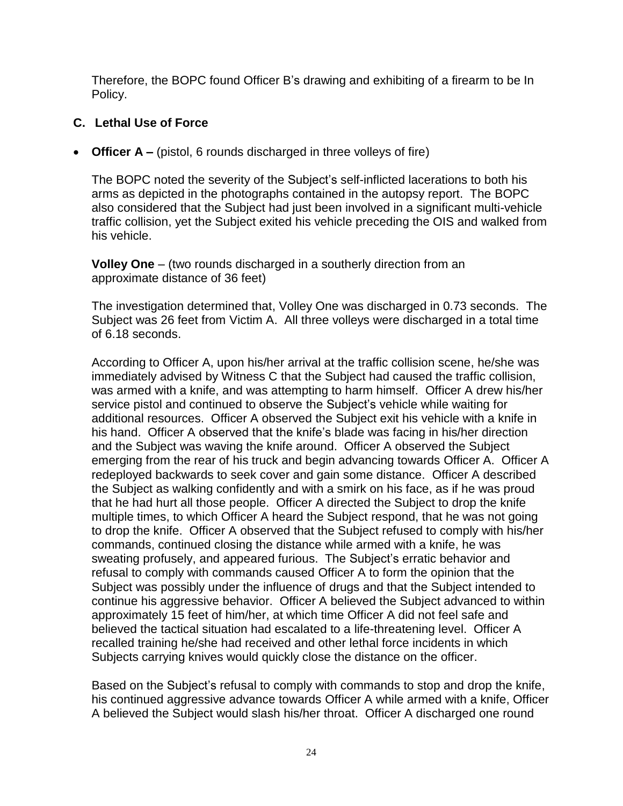Therefore, the BOPC found Officer B's drawing and exhibiting of a firearm to be In Policy.

### **C. Lethal Use of Force**

• **Officer A** – (pistol, 6 rounds discharged in three volleys of fire)

The BOPC noted the severity of the Subject's self-inflicted lacerations to both his arms as depicted in the photographs contained in the autopsy report. The BOPC also considered that the Subject had just been involved in a significant multi-vehicle traffic collision, yet the Subject exited his vehicle preceding the OIS and walked from his vehicle.

**Volley One** – (two rounds discharged in a southerly direction from an approximate distance of 36 feet)

The investigation determined that, Volley One was discharged in 0.73 seconds. The Subject was 26 feet from Victim A. All three volleys were discharged in a total time of 6.18 seconds.

According to Officer A, upon his/her arrival at the traffic collision scene, he/she was immediately advised by Witness C that the Subject had caused the traffic collision, was armed with a knife, and was attempting to harm himself. Officer A drew his/her service pistol and continued to observe the Subject's vehicle while waiting for additional resources. Officer A observed the Subject exit his vehicle with a knife in his hand. Officer A observed that the knife's blade was facing in his/her direction and the Subject was waving the knife around. Officer A observed the Subject emerging from the rear of his truck and begin advancing towards Officer A. Officer A redeployed backwards to seek cover and gain some distance. Officer A described the Subject as walking confidently and with a smirk on his face, as if he was proud that he had hurt all those people. Officer A directed the Subject to drop the knife multiple times, to which Officer A heard the Subject respond, that he was not going to drop the knife. Officer A observed that the Subject refused to comply with his/her commands, continued closing the distance while armed with a knife, he was sweating profusely, and appeared furious. The Subject's erratic behavior and refusal to comply with commands caused Officer A to form the opinion that the Subject was possibly under the influence of drugs and that the Subject intended to continue his aggressive behavior. Officer A believed the Subject advanced to within approximately 15 feet of him/her, at which time Officer A did not feel safe and believed the tactical situation had escalated to a life-threatening level. Officer A recalled training he/she had received and other lethal force incidents in which Subjects carrying knives would quickly close the distance on the officer.

Based on the Subject's refusal to comply with commands to stop and drop the knife, his continued aggressive advance towards Officer A while armed with a knife, Officer A believed the Subject would slash his/her throat. Officer A discharged one round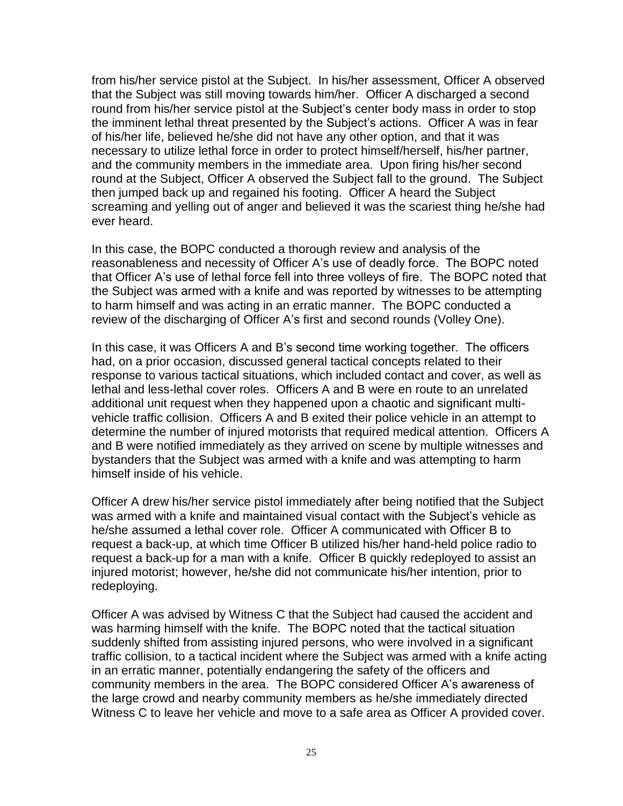from his/her service pistol at the Subject. In his/her assessment, Officer A observed that the Subject was still moving towards him/her. Officer A discharged a second round from his/her service pistol at the Subject's center body mass in order to stop the imminent lethal threat presented by the Subject's actions. Officer A was in fear of his/her life, believed he/she did not have any other option, and that it was necessary to utilize lethal force in order to protect himself/herself, his/her partner, and the community members in the immediate area. Upon firing his/her second round at the Subject, Officer A observed the Subject fall to the ground. The Subject then jumped back up and regained his footing. Officer A heard the Subject screaming and yelling out of anger and believed it was the scariest thing he/she had ever heard.

In this case, the BOPC conducted a thorough review and analysis of the reasonableness and necessity of Officer A's use of deadly force. The BOPC noted that Officer A's use of lethal force fell into three volleys of fire. The BOPC noted that the Subject was armed with a knife and was reported by witnesses to be attempting to harm himself and was acting in an erratic manner. The BOPC conducted a review of the discharging of Officer A's first and second rounds (Volley One).

In this case, it was Officers A and B's second time working together. The officers had, on a prior occasion, discussed general tactical concepts related to their response to various tactical situations, which included contact and cover, as well as lethal and less-lethal cover roles. Officers A and B were en route to an unrelated additional unit request when they happened upon a chaotic and significant multivehicle traffic collision. Officers A and B exited their police vehicle in an attempt to determine the number of injured motorists that required medical attention. Officers A and B were notified immediately as they arrived on scene by multiple witnesses and bystanders that the Subject was armed with a knife and was attempting to harm himself inside of his vehicle.

Officer A drew his/her service pistol immediately after being notified that the Subject was armed with a knife and maintained visual contact with the Subject's vehicle as he/she assumed a lethal cover role. Officer A communicated with Officer B to request a back-up, at which time Officer B utilized his/her hand-held police radio to request a back-up for a man with a knife. Officer B quickly redeployed to assist an injured motorist; however, he/she did not communicate his/her intention, prior to redeploying.

Officer A was advised by Witness C that the Subject had caused the accident and was harming himself with the knife. The BOPC noted that the tactical situation suddenly shifted from assisting injured persons, who were involved in a significant traffic collision, to a tactical incident where the Subject was armed with a knife acting in an erratic manner, potentially endangering the safety of the officers and community members in the area. The BOPC considered Officer A's awareness of the large crowd and nearby community members as he/she immediately directed Witness C to leave her vehicle and move to a safe area as Officer A provided cover.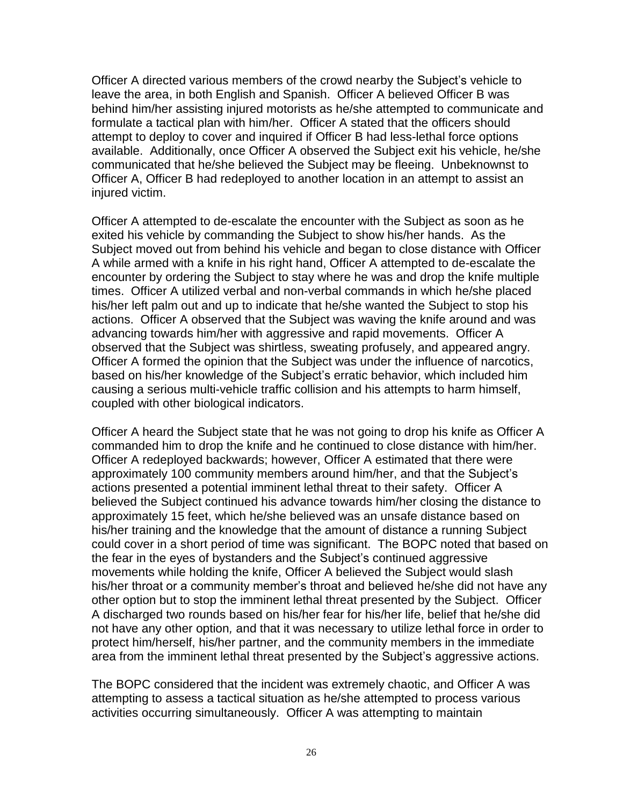Officer A directed various members of the crowd nearby the Subject's vehicle to leave the area, in both English and Spanish. Officer A believed Officer B was behind him/her assisting injured motorists as he/she attempted to communicate and formulate a tactical plan with him/her. Officer A stated that the officers should attempt to deploy to cover and inquired if Officer B had less-lethal force options available. Additionally, once Officer A observed the Subject exit his vehicle, he/she communicated that he/she believed the Subject may be fleeing. Unbeknownst to Officer A, Officer B had redeployed to another location in an attempt to assist an injured victim.

Officer A attempted to de-escalate the encounter with the Subject as soon as he exited his vehicle by commanding the Subject to show his/her hands. As the Subject moved out from behind his vehicle and began to close distance with Officer A while armed with a knife in his right hand, Officer A attempted to de-escalate the encounter by ordering the Subject to stay where he was and drop the knife multiple times. Officer A utilized verbal and non-verbal commands in which he/she placed his/her left palm out and up to indicate that he/she wanted the Subject to stop his actions. Officer A observed that the Subject was waving the knife around and was advancing towards him/her with aggressive and rapid movements. Officer A observed that the Subject was shirtless, sweating profusely, and appeared angry. Officer A formed the opinion that the Subject was under the influence of narcotics, based on his/her knowledge of the Subject's erratic behavior, which included him causing a serious multi-vehicle traffic collision and his attempts to harm himself, coupled with other biological indicators.

Officer A heard the Subject state that he was not going to drop his knife as Officer A commanded him to drop the knife and he continued to close distance with him/her. Officer A redeployed backwards; however, Officer A estimated that there were approximately 100 community members around him/her, and that the Subject's actions presented a potential imminent lethal threat to their safety. Officer A believed the Subject continued his advance towards him/her closing the distance to approximately 15 feet, which he/she believed was an unsafe distance based on his/her training and the knowledge that the amount of distance a running Subject could cover in a short period of time was significant. The BOPC noted that based on the fear in the eyes of bystanders and the Subject's continued aggressive movements while holding the knife, Officer A believed the Subject would slash his/her throat or a community member's throat and believed he/she did not have any other option but to stop the imminent lethal threat presented by the Subject. Officer A discharged two rounds based on his/her fear for his/her life, belief that he/she did not have any other option*,* and that it was necessary to utilize lethal force in order to protect him/herself, his/her partner, and the community members in the immediate area from the imminent lethal threat presented by the Subject's aggressive actions.

The BOPC considered that the incident was extremely chaotic, and Officer A was attempting to assess a tactical situation as he/she attempted to process various activities occurring simultaneously. Officer A was attempting to maintain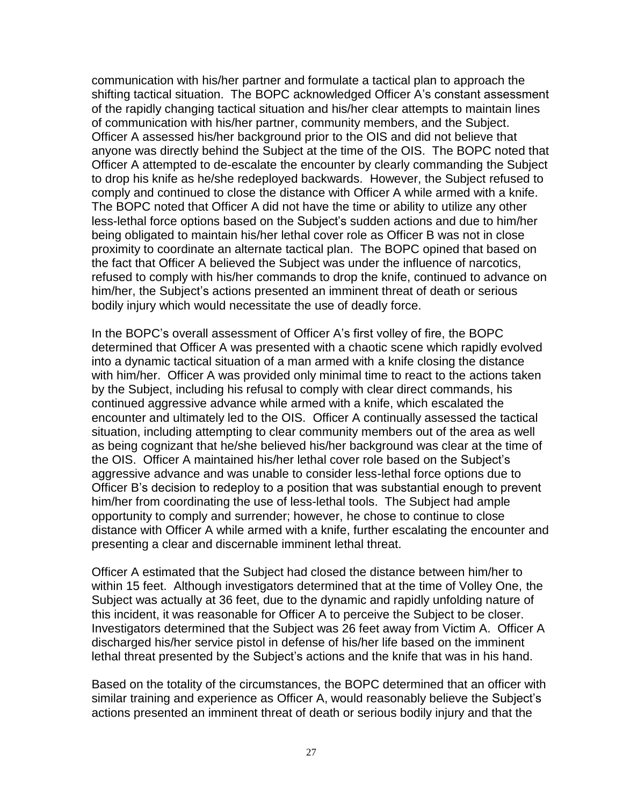communication with his/her partner and formulate a tactical plan to approach the shifting tactical situation. The BOPC acknowledged Officer A's constant assessment of the rapidly changing tactical situation and his/her clear attempts to maintain lines of communication with his/her partner, community members, and the Subject. Officer A assessed his/her background prior to the OIS and did not believe that anyone was directly behind the Subject at the time of the OIS. The BOPC noted that Officer A attempted to de-escalate the encounter by clearly commanding the Subject to drop his knife as he/she redeployed backwards. However, the Subject refused to comply and continued to close the distance with Officer A while armed with a knife. The BOPC noted that Officer A did not have the time or ability to utilize any other less-lethal force options based on the Subject's sudden actions and due to him/her being obligated to maintain his/her lethal cover role as Officer B was not in close proximity to coordinate an alternate tactical plan. The BOPC opined that based on the fact that Officer A believed the Subject was under the influence of narcotics, refused to comply with his/her commands to drop the knife, continued to advance on him/her, the Subject's actions presented an imminent threat of death or serious bodily injury which would necessitate the use of deadly force.

In the BOPC's overall assessment of Officer A's first volley of fire, the BOPC determined that Officer A was presented with a chaotic scene which rapidly evolved into a dynamic tactical situation of a man armed with a knife closing the distance with him/her. Officer A was provided only minimal time to react to the actions taken by the Subject, including his refusal to comply with clear direct commands, his continued aggressive advance while armed with a knife, which escalated the encounter and ultimately led to the OIS. Officer A continually assessed the tactical situation, including attempting to clear community members out of the area as well as being cognizant that he/she believed his/her background was clear at the time of the OIS. Officer A maintained his/her lethal cover role based on the Subject's aggressive advance and was unable to consider less-lethal force options due to Officer B's decision to redeploy to a position that was substantial enough to prevent him/her from coordinating the use of less-lethal tools. The Subject had ample opportunity to comply and surrender; however, he chose to continue to close distance with Officer A while armed with a knife, further escalating the encounter and presenting a clear and discernable imminent lethal threat.

Officer A estimated that the Subject had closed the distance between him/her to within 15 feet. Although investigators determined that at the time of Volley One, the Subject was actually at 36 feet, due to the dynamic and rapidly unfolding nature of this incident, it was reasonable for Officer A to perceive the Subject to be closer. Investigators determined that the Subject was 26 feet away from Victim A. Officer A discharged his/her service pistol in defense of his/her life based on the imminent lethal threat presented by the Subject's actions and the knife that was in his hand.

Based on the totality of the circumstances, the BOPC determined that an officer with similar training and experience as Officer A, would reasonably believe the Subject's actions presented an imminent threat of death or serious bodily injury and that the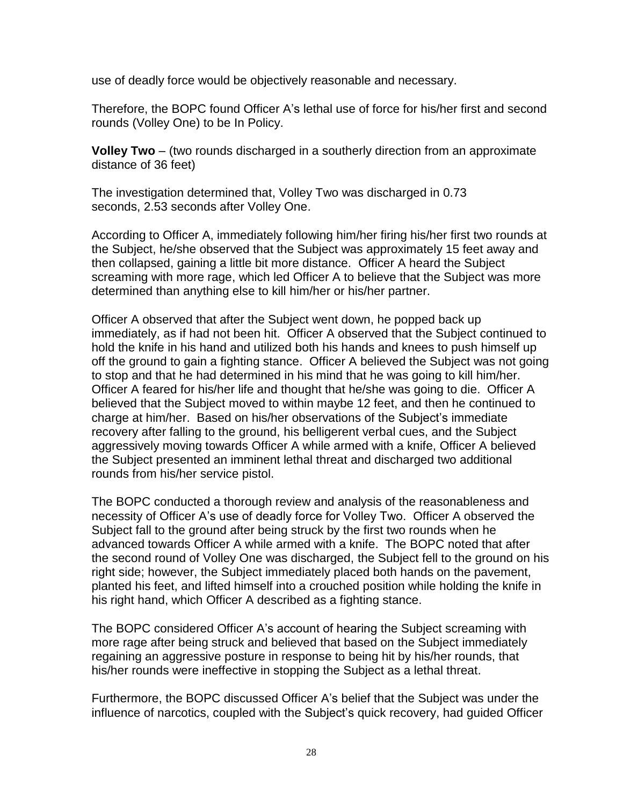use of deadly force would be objectively reasonable and necessary.

Therefore, the BOPC found Officer A's lethal use of force for his/her first and second rounds (Volley One) to be In Policy.

**Volley Two** – (two rounds discharged in a southerly direction from an approximate distance of 36 feet)

The investigation determined that, Volley Two was discharged in 0.73 seconds, 2.53 seconds after Volley One.

According to Officer A, immediately following him/her firing his/her first two rounds at the Subject, he/she observed that the Subject was approximately 15 feet away and then collapsed, gaining a little bit more distance. Officer A heard the Subject screaming with more rage, which led Officer A to believe that the Subject was more determined than anything else to kill him/her or his/her partner.

Officer A observed that after the Subject went down, he popped back up immediately, as if had not been hit. Officer A observed that the Subject continued to hold the knife in his hand and utilized both his hands and knees to push himself up off the ground to gain a fighting stance. Officer A believed the Subject was not going to stop and that he had determined in his mind that he was going to kill him/her. Officer A feared for his/her life and thought that he/she was going to die. Officer A believed that the Subject moved to within maybe 12 feet, and then he continued to charge at him/her. Based on his/her observations of the Subject's immediate recovery after falling to the ground, his belligerent verbal cues, and the Subject aggressively moving towards Officer A while armed with a knife, Officer A believed the Subject presented an imminent lethal threat and discharged two additional rounds from his/her service pistol.

The BOPC conducted a thorough review and analysis of the reasonableness and necessity of Officer A's use of deadly force for Volley Two. Officer A observed the Subject fall to the ground after being struck by the first two rounds when he advanced towards Officer A while armed with a knife. The BOPC noted that after the second round of Volley One was discharged, the Subject fell to the ground on his right side; however, the Subject immediately placed both hands on the pavement, planted his feet, and lifted himself into a crouched position while holding the knife in his right hand, which Officer A described as a fighting stance.

The BOPC considered Officer A's account of hearing the Subject screaming with more rage after being struck and believed that based on the Subject immediately regaining an aggressive posture in response to being hit by his/her rounds, that his/her rounds were ineffective in stopping the Subject as a lethal threat.

Furthermore, the BOPC discussed Officer A's belief that the Subject was under the influence of narcotics, coupled with the Subject's quick recovery, had guided Officer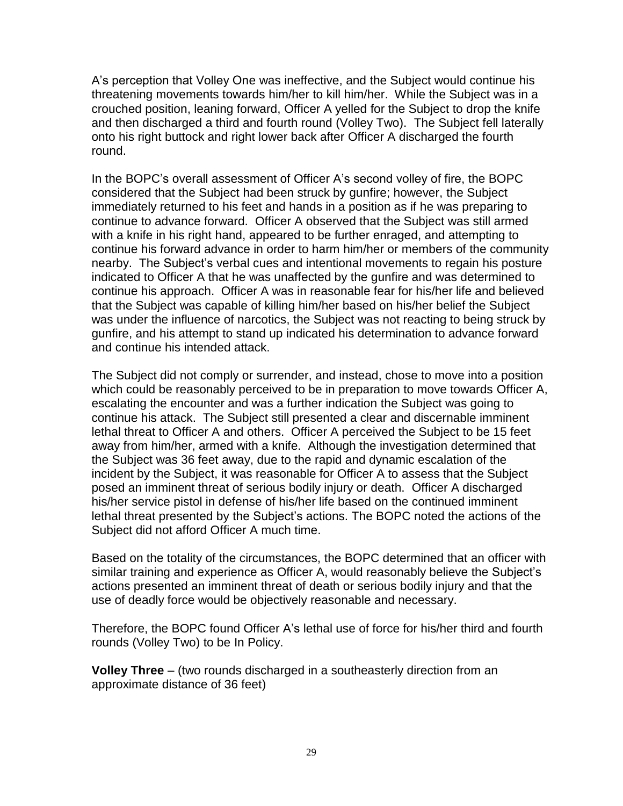A's perception that Volley One was ineffective, and the Subject would continue his threatening movements towards him/her to kill him/her. While the Subject was in a crouched position, leaning forward, Officer A yelled for the Subject to drop the knife and then discharged a third and fourth round (Volley Two). The Subject fell laterally onto his right buttock and right lower back after Officer A discharged the fourth round.

In the BOPC's overall assessment of Officer A's second volley of fire, the BOPC considered that the Subject had been struck by gunfire; however, the Subject immediately returned to his feet and hands in a position as if he was preparing to continue to advance forward. Officer A observed that the Subject was still armed with a knife in his right hand, appeared to be further enraged, and attempting to continue his forward advance in order to harm him/her or members of the community nearby. The Subject's verbal cues and intentional movements to regain his posture indicated to Officer A that he was unaffected by the gunfire and was determined to continue his approach. Officer A was in reasonable fear for his/her life and believed that the Subject was capable of killing him/her based on his/her belief the Subject was under the influence of narcotics, the Subject was not reacting to being struck by gunfire, and his attempt to stand up indicated his determination to advance forward and continue his intended attack.

The Subject did not comply or surrender, and instead, chose to move into a position which could be reasonably perceived to be in preparation to move towards Officer A, escalating the encounter and was a further indication the Subject was going to continue his attack. The Subject still presented a clear and discernable imminent lethal threat to Officer A and others. Officer A perceived the Subject to be 15 feet away from him/her, armed with a knife. Although the investigation determined that the Subject was 36 feet away, due to the rapid and dynamic escalation of the incident by the Subject, it was reasonable for Officer A to assess that the Subject posed an imminent threat of serious bodily injury or death. Officer A discharged his/her service pistol in defense of his/her life based on the continued imminent lethal threat presented by the Subject's actions. The BOPC noted the actions of the Subject did not afford Officer A much time.

Based on the totality of the circumstances, the BOPC determined that an officer with similar training and experience as Officer A, would reasonably believe the Subject's actions presented an imminent threat of death or serious bodily injury and that the use of deadly force would be objectively reasonable and necessary.

Therefore, the BOPC found Officer A's lethal use of force for his/her third and fourth rounds (Volley Two) to be In Policy.

**Volley Three** – (two rounds discharged in a southeasterly direction from an approximate distance of 36 feet)